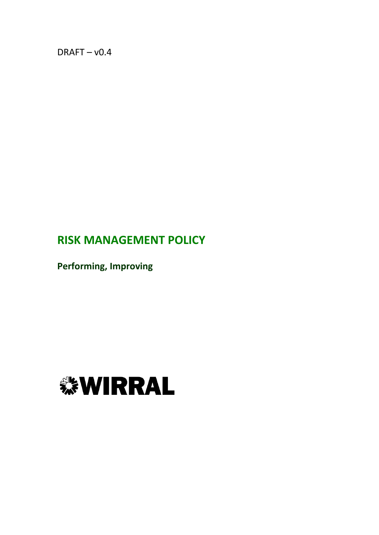$DRAFT - v0.4$ 

# **RISK MANAGEMENT POLICY**

**Performing, Improving**

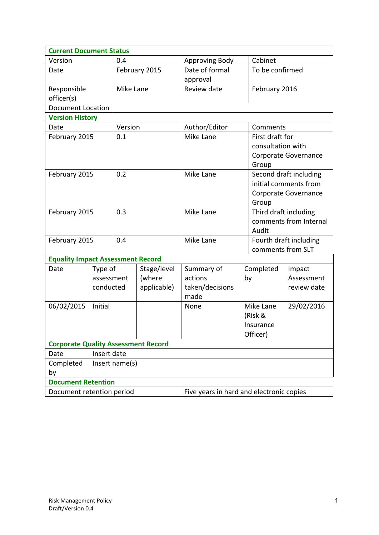| <b>Current Document Status</b>                                        |                |               |             |                 |                       |                                             |  |
|-----------------------------------------------------------------------|----------------|---------------|-------------|-----------------|-----------------------|---------------------------------------------|--|
| Version                                                               |                | 0.4           |             | Approving Body  | Cabinet               |                                             |  |
| Date                                                                  |                | February 2015 |             | Date of formal  |                       | To be confirmed                             |  |
|                                                                       |                |               |             | approval        |                       |                                             |  |
| Responsible                                                           |                | Mike Lane     |             | Review date     | February 2016         |                                             |  |
| officer(s)                                                            |                |               |             |                 |                       |                                             |  |
| <b>Document Location</b>                                              |                |               |             |                 |                       |                                             |  |
| <b>Version History</b>                                                |                |               |             |                 |                       |                                             |  |
| Date                                                                  |                | Version       |             | Author/Editor   |                       | Comments                                    |  |
| February 2015                                                         |                | 0.1           |             | Mike Lane       |                       | First draft for                             |  |
|                                                                       |                |               |             |                 | consultation with     |                                             |  |
|                                                                       |                |               |             |                 |                       | Corporate Governance                        |  |
|                                                                       |                |               |             |                 | Group                 |                                             |  |
| February 2015                                                         |                | 0.2           |             | Mike Lane       |                       | Second draft including                      |  |
|                                                                       |                |               |             |                 |                       | initial comments from                       |  |
|                                                                       |                |               |             |                 |                       | Corporate Governance                        |  |
|                                                                       |                |               |             |                 | Group                 |                                             |  |
| February 2015                                                         |                | 0.3           |             | Mike Lane       | Third draft including |                                             |  |
|                                                                       |                |               |             |                 |                       | comments from Internal<br>Audit             |  |
|                                                                       |                | 0.4           |             | Mike Lane       |                       |                                             |  |
| February 2015                                                         |                |               |             |                 |                       | Fourth draft including<br>comments from SLT |  |
| <b>Equality Impact Assessment Record</b>                              |                |               |             |                 |                       |                                             |  |
| Date                                                                  | Type of        |               | Stage/level | Summary of      | Completed             | Impact                                      |  |
|                                                                       | assessment     |               | (where      | actions         | by                    | Assessment                                  |  |
|                                                                       | conducted      |               | applicable) | taken/decisions |                       | review date                                 |  |
|                                                                       |                |               |             | made            |                       |                                             |  |
| 06/02/2015                                                            | Initial        |               |             | None            | Mike Lane             | 29/02/2016                                  |  |
|                                                                       |                |               |             |                 | (Risk &               |                                             |  |
|                                                                       |                |               |             |                 | Insurance             |                                             |  |
|                                                                       |                |               |             |                 | Officer)              |                                             |  |
| <b>Corporate Quality Assessment Record</b>                            |                |               |             |                 |                       |                                             |  |
| Date                                                                  | Insert date    |               |             |                 |                       |                                             |  |
| Completed                                                             | Insert name(s) |               |             |                 |                       |                                             |  |
| by                                                                    |                |               |             |                 |                       |                                             |  |
| <b>Document Retention</b>                                             |                |               |             |                 |                       |                                             |  |
| Five years in hard and electronic copies<br>Document retention period |                |               |             |                 |                       |                                             |  |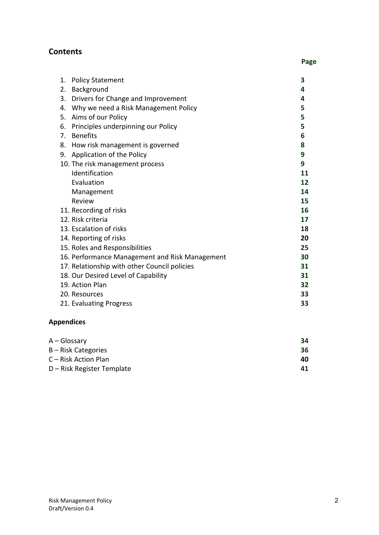## **Contents**

| 1. | <b>Policy Statement</b>                        | 3  |
|----|------------------------------------------------|----|
| 2. | Background                                     | 4  |
| 3. | Drivers for Change and Improvement             | 4  |
| 4. | Why we need a Risk Management Policy           | 5  |
| 5. | Aims of our Policy                             | 5  |
| 6. | Principles underpinning our Policy             | 5  |
| 7. | <b>Benefits</b>                                | 6  |
| 8. | How risk management is governed                | 8  |
| 9. | Application of the Policy                      | 9  |
|    | 10. The risk management process                | 9  |
|    | Identification                                 | 11 |
|    | Evaluation                                     | 12 |
|    | Management                                     | 14 |
|    | Review                                         | 15 |
|    | 11. Recording of risks                         | 16 |
|    | 12. Risk criteria                              | 17 |
|    | 13. Escalation of risks                        | 18 |
|    | 14. Reporting of risks                         | 20 |
|    | 15. Roles and Responsibilities                 | 25 |
|    | 16. Performance Management and Risk Management | 30 |
|    | 17. Relationship with other Council policies   | 31 |
|    | 18. Our Desired Level of Capability            | 31 |
|    | 19. Action Plan                                | 32 |
|    | 20. Resources                                  | 33 |
|    | 21. Evaluating Progress                        | 33 |

## **Appendices**

| A – Glossary               | 34 |
|----------------------------|----|
| B – Risk Categories        | 36 |
| C – Risk Action Plan       | 40 |
| D – Risk Register Template | 41 |
|                            |    |

**Page**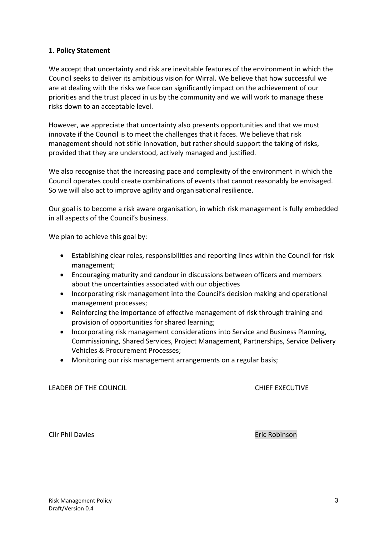#### **1. Policy Statement**

We accept that uncertainty and risk are inevitable features of the environment in which the Council seeks to deliver its ambitious vision for Wirral. We believe that how successful we are at dealing with the risks we face can significantly impact on the achievement of our priorities and the trust placed in us by the community and we will work to manage these risks down to an acceptable level.

However, we appreciate that uncertainty also presents opportunities and that we must innovate if the Council is to meet the challenges that it faces. We believe that risk management should not stifle innovation, but rather should support the taking of risks, provided that they are understood, actively managed and justified.

We also recognise that the increasing pace and complexity of the environment in which the Council operates could create combinations of events that cannot reasonably be envisaged. So we will also act to improve agility and organisational resilience.

Our goal is to become a risk aware organisation, in which risk management is fully embedded in all aspects of the Council's business.

We plan to achieve this goal by:

- Establishing clear roles, responsibilities and reporting lines within the Council for risk management;
- Encouraging maturity and candour in discussions between officers and members about the uncertainties associated with our objectives
- Incorporating risk management into the Council's decision making and operational management processes;
- Reinforcing the importance of effective management of risk through training and provision of opportunities for shared learning;
- Incorporating risk management considerations into Service and Business Planning, Commissioning, Shared Services, Project Management, Partnerships, Service Delivery Vehicles & Procurement Processes;
- Monitoring our risk management arrangements on a regular basis;

LEADER OF THE COUNCIL CHIEF EXECUTIVE

Cllr Phil Davies Eric Robinson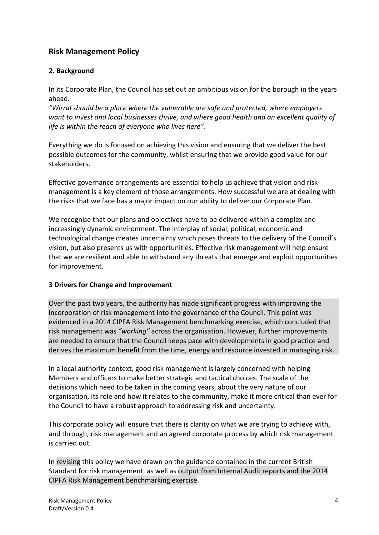## **Risk Management Policy**

### **2. Background**

In its Corporate Plan, the Council has set out an ambitious vision for the borough in the years ahead.

*"Wirral should be a place where the vulnerable are safe and protected, where employers want to invest and local businesses thrive, and where good health and an excellent quality of life is within the reach of everyone who lives here".*

Everything we do is focused on achieving this vision and ensuring that we deliver the best possible outcomes for the community, whilst ensuring that we provide good value for our stakeholders.

Effective governance arrangements are essential to help us achieve that vision and risk management is a key element of those arrangements. How successful we are at dealing with the risks that we face has a major impact on our ability to deliver our Corporate Plan.

We recognise that our plans and objectives have to be delivered within a complex and increasingly dynamic environment. The interplay of social, political, economic and technological change creates uncertainty which poses threats to the delivery of the Council's vision, but also presents us with opportunities. Effective risk management will help ensure that we are resilient and able to withstand any threats that emerge and exploit opportunities for improvement.

#### **3 Drivers for Change and Improvement**

Over the past two years, the authority has made significant progress with improving the incorporation of risk management into the governance of the Council. This point was evidenced in a 2014 CIPFA Risk Management benchmarking exercise, which concluded that risk management was *"working"* across the organisation. However, further improvements are needed to ensure that the Council keeps pace with developments in good practice and derives the maximum benefit from the time, energy and resource invested in managing risk.

In a local authority context, good risk management is largely concerned with helping Members and officers to make better strategic and tactical choices. The scale of the decisions which need to be taken in the coming years, about the very nature of our organisation, its role and how it relates to the community, make it more critical than ever for the Council to have a robust approach to addressing risk and uncertainty.

This corporate policy will ensure that there is clarity on what we are trying to achieve with, and through, risk management and an agreed corporate process by which risk management is carried out.

In revising this policy we have drawn on the guidance contained in the current British Standard for risk management, as well as output from Internal Audit reports and the 2014 CIPFA Risk Management benchmarking exercise.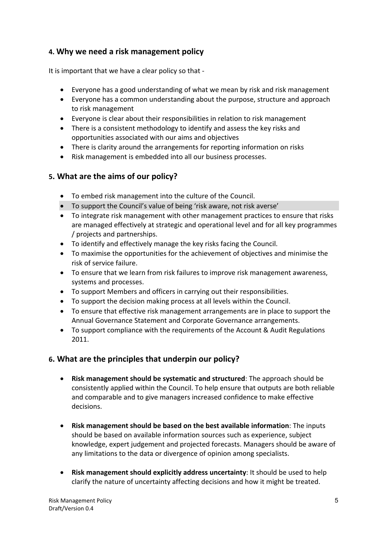## **4. Why we need a risk management policy**

It is important that we have a clear policy so that -

- Everyone has a good understanding of what we mean by risk and risk management
- Everyone has a common understanding about the purpose, structure and approach to risk management
- Everyone is clear about their responsibilities in relation to risk management
- There is a consistent methodology to identify and assess the key risks and opportunities associated with our aims and objectives
- There is clarity around the arrangements for reporting information on risks
- Risk management is embedded into all our business processes.

## **5. What are the aims of our policy?**

- To embed risk management into the culture of the Council.
- To support the Council's value of being 'risk aware, not risk averse'
- To integrate risk management with other management practices to ensure that risks are managed effectively at strategic and operational level and for all key programmes / projects and partnerships.
- To identify and effectively manage the key risks facing the Council.
- To maximise the opportunities for the achievement of objectives and minimise the risk of service failure.
- To ensure that we learn from risk failures to improve risk management awareness, systems and processes.
- To support Members and officers in carrying out their responsibilities.
- To support the decision making process at all levels within the Council.
- To ensure that effective risk management arrangements are in place to support the Annual Governance Statement and Corporate Governance arrangements.
- To support compliance with the requirements of the Account & Audit Regulations 2011.

## **6. What are the principles that underpin our policy?**

- **Risk management should be systematic and structured**: The approach should be consistently applied within the Council. To help ensure that outputs are both reliable and comparable and to give managers increased confidence to make effective decisions.
- **Risk management should be based on the best available information**: The inputs should be based on available information sources such as experience, subject knowledge, expert judgement and projected forecasts. Managers should be aware of any limitations to the data or divergence of opinion among specialists.
- **Risk management should explicitly address uncertainty**: It should be used to help clarify the nature of uncertainty affecting decisions and how it might be treated.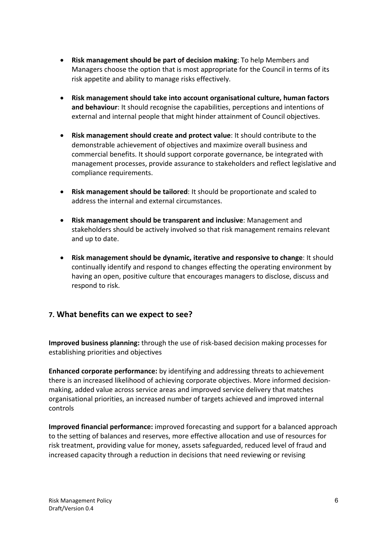- **Risk management should be part of decision making**: To help Members and Managers choose the option that is most appropriate for the Council in terms of its risk appetite and ability to manage risks effectively.
- **Risk management should take into account organisational culture, human factors and behaviour**: It should recognise the capabilities, perceptions and intentions of external and internal people that might hinder attainment of Council objectives.
- **Risk management should create and protect value**: It should contribute to the demonstrable achievement of objectives and maximize overall business and commercial benefits. It should support corporate governance, be integrated with management processes, provide assurance to stakeholders and reflect legislative and compliance requirements.
- **Risk management should be tailored**: It should be proportionate and scaled to address the internal and external circumstances.
- **Risk management should be transparent and inclusive**: Management and stakeholders should be actively involved so that risk management remains relevant and up to date.
- **Risk management should be dynamic, iterative and responsive to change**: It should continually identify and respond to changes effecting the operating environment by having an open, positive culture that encourages managers to disclose, discuss and respond to risk.

## **7. What benefits can we expect to see?**

**Improved business planning:** through the use of risk-based decision making processes for establishing priorities and objectives

**Enhanced corporate performance:** by identifying and addressing threats to achievement there is an increased likelihood of achieving corporate objectives. More informed decisionmaking, added value across service areas and improved service delivery that matches organisational priorities, an increased number of targets achieved and improved internal controls

**Improved financial performance:** improved forecasting and support for a balanced approach to the setting of balances and reserves, more effective allocation and use of resources for risk treatment, providing value for money, assets safeguarded, reduced level of fraud and increased capacity through a reduction in decisions that need reviewing or revising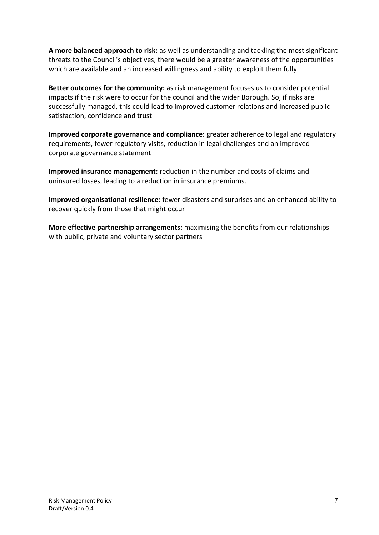**A more balanced approach to risk:** as well as understanding and tackling the most significant threats to the Council's objectives, there would be a greater awareness of the opportunities which are available and an increased willingness and ability to exploit them fully

**Better outcomes for the community:** as risk management focuses us to consider potential impacts if the risk were to occur for the council and the wider Borough. So, if risks are successfully managed, this could lead to improved customer relations and increased public satisfaction, confidence and trust

**Improved corporate governance and compliance:** greater adherence to legal and regulatory requirements, fewer regulatory visits, reduction in legal challenges and an improved corporate governance statement

**Improved insurance management:** reduction in the number and costs of claims and uninsured losses, leading to a reduction in insurance premiums.

**Improved organisational resilience:** fewer disasters and surprises and an enhanced ability to recover quickly from those that might occur

**More effective partnership arrangements:** maximising the benefits from our relationships with public, private and voluntary sector partners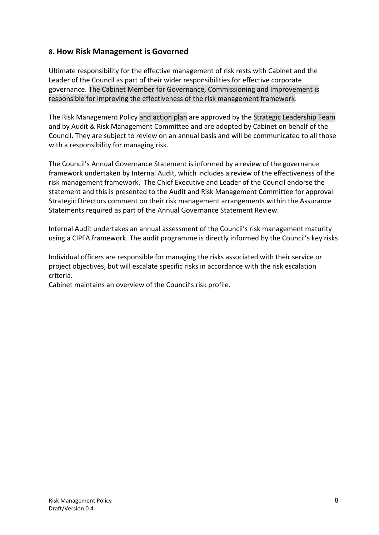## **8. How Risk Management is Governed**

Ultimate responsibility for the effective management of risk rests with Cabinet and the Leader of the Council as part of their wider responsibilities for effective corporate governance. The Cabinet Member for Governance, Commissioning and Improvement is responsible for improving the effectiveness of the risk management framework.

The Risk Management Policy and action plan are approved by the Strategic Leadership Team and by Audit & Risk Management Committee and are adopted by Cabinet on behalf of the Council. They are subject to review on an annual basis and will be communicated to all those with a responsibility for managing risk.

The Council's Annual Governance Statement is informed by a review of the governance framework undertaken by Internal Audit, which includes a review of the effectiveness of the risk management framework. The Chief Executive and Leader of the Council endorse the statement and this is presented to the Audit and Risk Management Committee for approval. Strategic Directors comment on their risk management arrangements within the Assurance Statements required as part of the Annual Governance Statement Review.

Internal Audit undertakes an annual assessment of the Council's risk management maturity using a CIPFA framework. The audit programme is directly informed by the Council's key risks

Individual officers are responsible for managing the risks associated with their service or project objectives, but will escalate specific risks in accordance with the risk escalation criteria.

Cabinet maintains an overview of the Council's risk profile.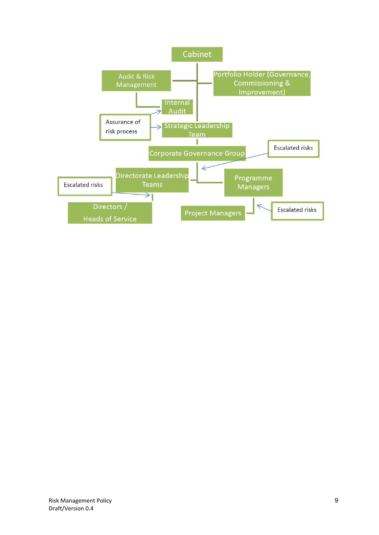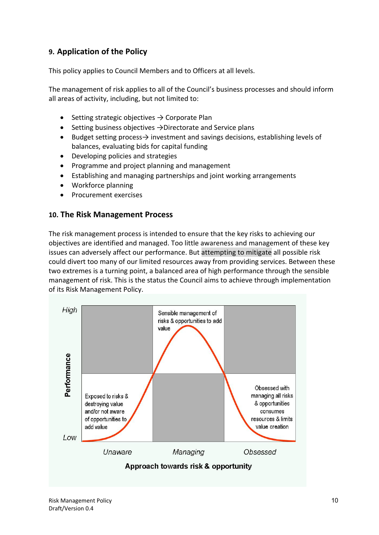## **9. Application of the Policy**

This policy applies to Council Members and to Officers at all levels.

The management of risk applies to all of the Council's business processes and should inform all areas of activity, including, but not limited to:

- Setting strategic objectives  $\rightarrow$  Corporate Plan
- Setting business objectives  $\rightarrow$ Directorate and Service plans
- Budget setting process→ investment and savings decisions, establishing levels of balances, evaluating bids for capital funding
- Developing policies and strategies
- Programme and project planning and management
- Establishing and managing partnerships and joint working arrangements
- Workforce planning
- Procurement exercises

#### **10. The Risk Management Process**

The risk management process is intended to ensure that the key risks to achieving our objectives are identified and managed. Too little awareness and management of these key issues can adversely affect our performance. But attempting to mitigate all possible risk could divert too many of our limited resources away from providing services. Between these two extremes is a turning point, a balanced area of high performance through the sensible management of risk. This is the status the Council aims to achieve through implementation of its Risk Management Policy.

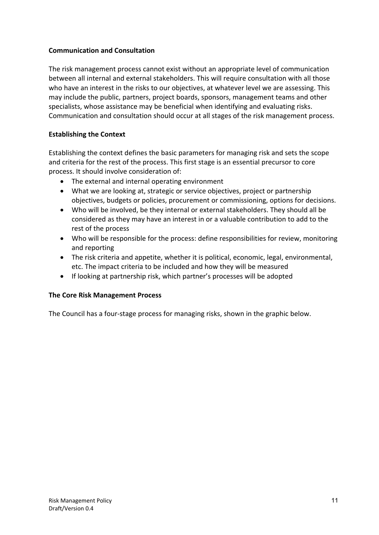#### **Communication and Consultation**

The risk management process cannot exist without an appropriate level of communication between all internal and external stakeholders. This will require consultation with all those who have an interest in the risks to our objectives, at whatever level we are assessing. This may include the public, partners, project boards, sponsors, management teams and other specialists, whose assistance may be beneficial when identifying and evaluating risks. Communication and consultation should occur at all stages of the risk management process.

#### **Establishing the Context**

Establishing the context defines the basic parameters for managing risk and sets the scope and criteria for the rest of the process. This first stage is an essential precursor to core process. It should involve consideration of:

- The external and internal operating environment
- What we are looking at, strategic or service objectives, project or partnership objectives, budgets or policies, procurement or commissioning, options for decisions.
- Who will be involved, be they internal or external stakeholders. They should all be considered as they may have an interest in or a valuable contribution to add to the rest of the process
- Who will be responsible for the process: define responsibilities for review, monitoring and reporting
- The risk criteria and appetite, whether it is political, economic, legal, environmental, etc. The impact criteria to be included and how they will be measured
- If looking at partnership risk, which partner's processes will be adopted

#### **The Core Risk Management Process**

The Council has a four-stage process for managing risks, shown in the graphic below.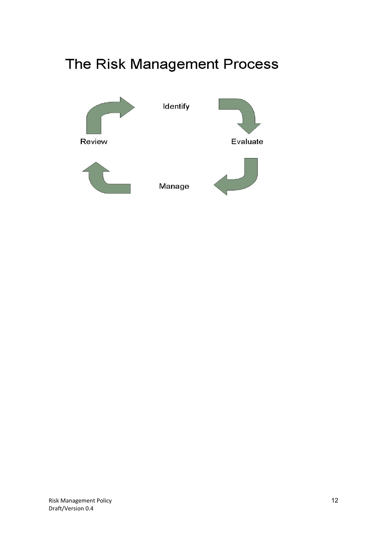# The Risk Management Process

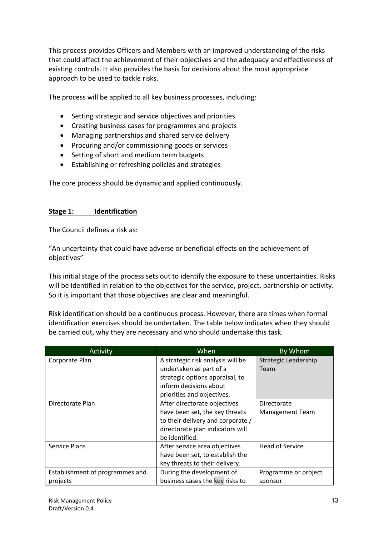This process provides Officers and Members with an improved understanding of the risks that could affect the achievement of their objectives and the adequacy and effectiveness of existing controls. It also provides the basis for decisions about the most appropriate approach to be used to tackle risks.

The process will be applied to all key business processes, including:

- Setting strategic and service objectives and priorities
- Creating business cases for programmes and projects
- Managing partnerships and shared service delivery
- Procuring and/or commissioning goods or services
- Setting of short and medium term budgets
- Establishing or refreshing policies and strategies

The core process should be dynamic and applied continuously.

#### **Stage 1: Identification**

The Council defines a risk as:

"An uncertainty that could have adverse or beneficial effects on the achievement of objectives"

This initial stage of the process sets out to identify the exposure to these uncertainties. Risks will be identified in relation to the objectives for the service, project, partnership or activity. So it is important that those objectives are clear and meaningful.

Risk identification should be a continuous process. However, there are times when formal identification exercises should be undertaken. The table below indicates when they should be carried out, why they are necessary and who should undertake this task.

| Activity                        | When                              | By Whom                |
|---------------------------------|-----------------------------------|------------------------|
| Corporate Plan                  | A strategic risk analysis will be | Strategic Leadership   |
|                                 | undertaken as part of a           | Team                   |
|                                 | strategic options appraisal, to   |                        |
|                                 | inform decisions about            |                        |
|                                 | priorities and objectives.        |                        |
| Directorate Plan                | After directorate objectives      | Directorate            |
|                                 | have been set, the key threats    | <b>Management Team</b> |
|                                 | to their delivery and corporate / |                        |
|                                 | directorate plan indicators will  |                        |
|                                 | be identified.                    |                        |
| Service Plans                   | After service area objectives     | Head of Service        |
|                                 | have been set, to establish the   |                        |
|                                 | key threats to their delivery.    |                        |
| Establishment of programmes and | During the development of         | Programme or project   |
| projects                        | business cases the key risks to   | sponsor                |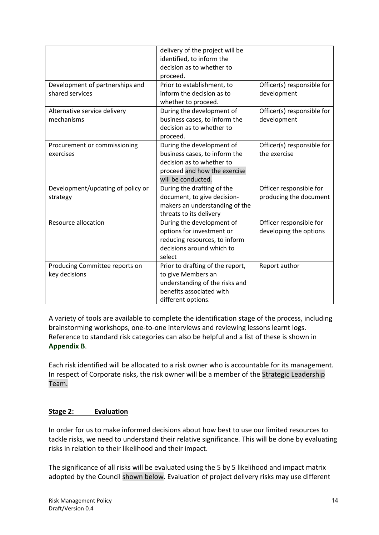|                                                    | delivery of the project will be<br>identified, to inform the<br>decision as to whether to<br>proceed.                                         |                                                   |
|----------------------------------------------------|-----------------------------------------------------------------------------------------------------------------------------------------------|---------------------------------------------------|
| Development of partnerships and<br>shared services | Prior to establishment, to<br>inform the decision as to<br>whether to proceed.                                                                | Officer(s) responsible for<br>development         |
| Alternative service delivery<br>mechanisms         | During the development of<br>business cases, to inform the<br>decision as to whether to<br>proceed.                                           | Officer(s) responsible for<br>development         |
| Procurement or commissioning<br>exercises          | During the development of<br>business cases, to inform the<br>decision as to whether to<br>proceed and how the exercise<br>will be conducted. | Officer(s) responsible for<br>the exercise        |
| Development/updating of policy or<br>strategy      | During the drafting of the<br>document, to give decision-<br>makers an understanding of the<br>threats to its delivery                        | Officer responsible for<br>producing the document |
| <b>Resource allocation</b>                         | During the development of<br>options for investment or<br>reducing resources, to inform<br>decisions around which to<br>select                | Officer responsible for<br>developing the options |
| Producing Committee reports on<br>key decisions    | Prior to drafting of the report,<br>to give Members an<br>understanding of the risks and<br>benefits associated with<br>different options.    | Report author                                     |

A variety of tools are available to complete the identification stage of the process, including brainstorming workshops, one-to-one interviews and reviewing lessons learnt logs. Reference to standard risk categories can also be helpful and a list of these is shown in **Appendix B**.

Each risk identified will be allocated to a risk owner who is accountable for its management. In respect of Corporate risks, the risk owner will be a member of the Strategic Leadership Team.

#### **Stage 2: Evaluation**

In order for us to make informed decisions about how best to use our limited resources to tackle risks, we need to understand their relative significance. This will be done by evaluating risks in relation to their likelihood and their impact.

The significance of all risks will be evaluated using the 5 by 5 likelihood and impact matrix adopted by the Council shown below. Evaluation of project delivery risks may use different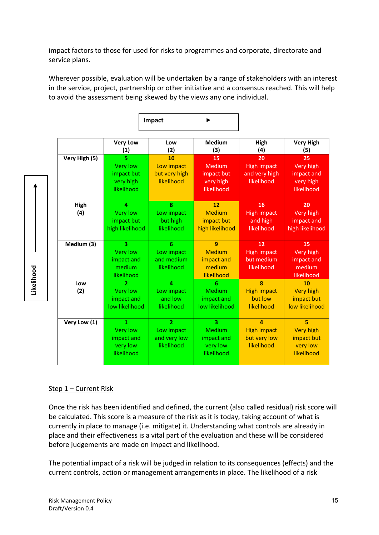impact factors to those for used for risks to programmes and corporate, directorate and service plans.

Wherever possible, evaluation will be undertaken by a range of stakeholders with an interest in the service, project, partnership or other initiative and a consensus reached. This will help to avoid the assessment being skewed by the views any one individual.

|               | <b>Very Low</b><br>(1)  | Low<br>(2)     | <b>Medium</b><br>(3) | High<br>(4)        | <b>Very High</b><br>(5) |
|---------------|-------------------------|----------------|----------------------|--------------------|-------------------------|
| Very High (5) | 5.                      | 10             | 15                   | 20                 | 25                      |
|               | <b>Very low</b>         | Low impact     | Medium               | <b>High impact</b> | Very high               |
|               | impact but              | but very high  | impact but           | and very high      | impact and              |
|               | very high               | likelihood     | very high            | likelihood         | very high               |
|               | likelihood              |                | likelihood           |                    | likelihood              |
| High          | $\overline{a}$          | 8              | 12                   | 16                 | 20                      |
| (4)           | <b>Very low</b>         | Low impact     | Medium               | <b>High impact</b> | Very high               |
|               | impact but              | but high       | impact but           | and high           | impact and              |
|               | high likelihood         | likelihood     | high likelihood      | likelihood         | high likelihood         |
| Medium (3)    | 3                       | 6              | 9                    | 12                 | 15                      |
|               | <b>Very low</b>         | Low impact     | Medium               | <b>High impact</b> | Very high               |
|               | impact and              | and medium     | impact and           | but medium         | impact and              |
|               | medium                  | likelihood     | medium               | likelihood         | medium                  |
|               | likelihood              |                | likelihood           |                    | likelihood              |
| Low           | $\overline{\mathbf{z}}$ | $\Delta$       | 6                    | $\mathbf{R}$       | 10                      |
| (2)           | <b>Very low</b>         | Low impact     | Medium               | <b>High impact</b> | <b>Very high</b>        |
|               | impact and              | and low        | impact and           | but low            | impact but              |
|               | low likelihood          | likelihood     | low likelihood       | likelihood         | low likelihood          |
| Very Low (1)  | $\mathbf{1}$            | $\overline{2}$ | R.                   | $\Delta$           | 5                       |
|               | <b>Very low</b>         | Low impact     | Medium               | <b>High impact</b> | <b>Very high</b>        |
|               | impact and              | and very low   | impact and           | but very low       | impact but              |
|               | very low                | likelihood     | very low             | likelihood         | very low                |
|               |                         |                |                      |                    |                         |

**Impact**

#### Step 1 – Current Risk

Likelihood **Likelihood**

> Once the risk has been identified and defined, the current (also called residual) risk score will be calculated. This score is a measure of the risk as it is today, taking account of what is currently in place to manage (i.e. mitigate) it. Understanding what controls are already in place and their effectiveness is a vital part of the evaluation and these will be considered before judgements are made on impact and likelihood.

The potential impact of a risk will be judged in relation to its consequences (effects) and the current controls, action or management arrangements in place. The likelihood of a risk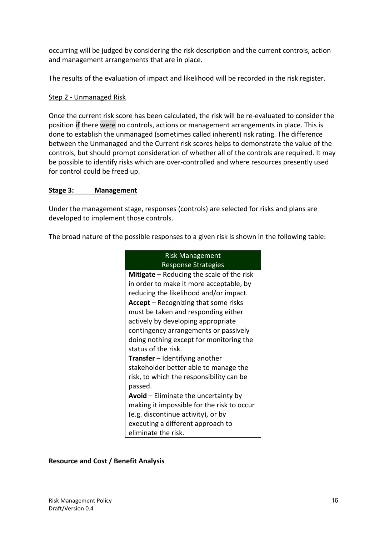occurring will be judged by considering the risk description and the current controls, action and management arrangements that are in place.

The results of the evaluation of impact and likelihood will be recorded in the risk register.

#### Step 2 - Unmanaged Risk

Once the current risk score has been calculated, the risk will be re-evaluated to consider the position if there were no controls, actions or management arrangements in place. This is done to establish the unmanaged (sometimes called inherent) risk rating. The difference between the Unmanaged and the Current risk scores helps to demonstrate the value of the controls, but should prompt consideration of whether all of the controls are required. It may be possible to identify risks which are over-controlled and where resources presently used for control could be freed up.

#### **Stage 3: Management**

Under the management stage, responses (controls) are selected for risks and plans are developed to implement those controls.

The broad nature of the possible responses to a given risk is shown in the following table:

| <b>Risk Management</b>                      |
|---------------------------------------------|
| <b>Response Strategies</b>                  |
| Mitigate - Reducing the scale of the risk   |
| in order to make it more acceptable, by     |
| reducing the likelihood and/or impact.      |
| <b>Accept</b> – Recognizing that some risks |
| must be taken and responding either         |
| actively by developing appropriate          |
| contingency arrangements or passively       |
| doing nothing except for monitoring the     |
| status of the risk.                         |
| <b>Transfer</b> – Identifying another       |
| stakeholder better able to manage the       |
| risk, to which the responsibility can be    |
| passed.                                     |
| Avoid - Eliminate the uncertainty by        |
| making it impossible for the risk to occur  |
| (e.g. discontinue activity), or by          |
| executing a different approach to           |
| eliminate the risk.                         |

#### **Resource and Cost / Benefit Analysis**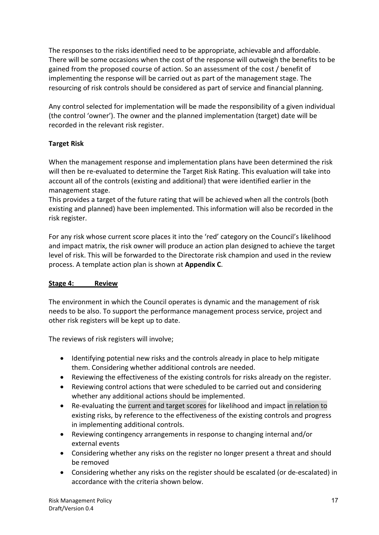The responses to the risks identified need to be appropriate, achievable and affordable. There will be some occasions when the cost of the response will outweigh the benefits to be gained from the proposed course of action. So an assessment of the cost / benefit of implementing the response will be carried out as part of the management stage. The resourcing of risk controls should be considered as part of service and financial planning.

Any control selected for implementation will be made the responsibility of a given individual (the control 'owner'). The owner and the planned implementation (target) date will be recorded in the relevant risk register.

## **Target Risk**

When the management response and implementation plans have been determined the risk will then be re-evaluated to determine the Target Risk Rating. This evaluation will take into account all of the controls (existing and additional) that were identified earlier in the management stage.

This provides a target of the future rating that will be achieved when all the controls (both existing and planned) have been implemented. This information will also be recorded in the risk register.

For any risk whose current score places it into the 'red' category on the Council's likelihood and impact matrix, the risk owner will produce an action plan designed to achieve the target level of risk. This will be forwarded to the Directorate risk champion and used in the review process. A template action plan is shown at **Appendix C**.

#### **Stage 4: Review**

The environment in which the Council operates is dynamic and the management of risk needs to be also. To support the performance management process service, project and other risk registers will be kept up to date.

The reviews of risk registers will involve;

- Identifying potential new risks and the controls already in place to help mitigate them. Considering whether additional controls are needed.
- Reviewing the effectiveness of the existing controls for risks already on the register.
- Reviewing control actions that were scheduled to be carried out and considering whether any additional actions should be implemented.
- Re-evaluating the current and target scores for likelihood and impact in relation to existing risks, by reference to the effectiveness of the existing controls and progress in implementing additional controls.
- Reviewing contingency arrangements in response to changing internal and/or external events
- Considering whether any risks on the register no longer present a threat and should be removed
- Considering whether any risks on the register should be escalated (or de-escalated) in accordance with the criteria shown below.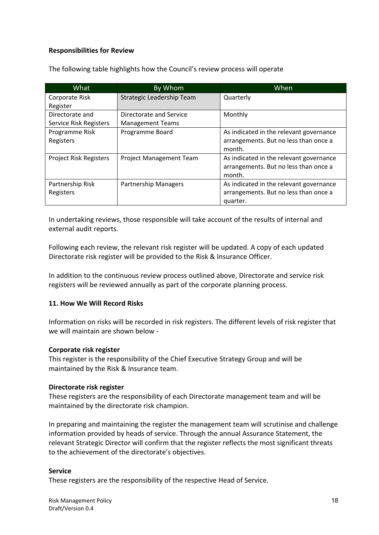#### **Responsibilities for Review**

| What                          | By Whom                        | When                                    |
|-------------------------------|--------------------------------|-----------------------------------------|
| Corporate Risk                | Strategic Leadership Team      | Quarterly                               |
| Register                      |                                |                                         |
| Directorate and               | Directorate and Service        | Monthly                                 |
| Service Risk Registers        | <b>Management Teams</b>        |                                         |
| Programme Risk                | Programme Board                | As indicated in the relevant governance |
| Registers                     |                                | arrangements. But no less than once a   |
|                               |                                | month.                                  |
| <b>Project Risk Registers</b> | <b>Project Management Team</b> | As indicated in the relevant governance |
|                               |                                | arrangements. But no less than once a   |
|                               |                                | month.                                  |
| Partnership Risk              | <b>Partnership Managers</b>    | As indicated in the relevant governance |
| Registers                     |                                | arrangements. But no less than once a   |
|                               |                                | quarter.                                |

The following table highlights how the Council's review process will operate

In undertaking reviews, those responsible will take account of the results of internal and external audit reports.

Following each review, the relevant risk register will be updated. A copy of each updated Directorate risk register will be provided to the Risk & Insurance Officer.

In addition to the continuous review process outlined above, Directorate and service risk registers will be reviewed annually as part of the corporate planning process.

#### **11. How We Will Record Risks**

Information on risks will be recorded in risk registers. The different levels of risk register that we will maintain are shown below -

#### **Corporate risk register**

This register is the responsibility of the Chief Executive Strategy Group and will be maintained by the Risk & Insurance team.

#### **Directorate risk register**

These registers are the responsibility of each Directorate management team and will be maintained by the directorate risk champion.

In preparing and maintaining the register the management team will scrutinise and challenge information provided by heads of service. Through the annual Assurance Statement, the relevant Strategic Director will confirm that the register reflects the most significant threats to the achievement of the directorate's objectives.

#### **Service**

These registers are the responsibility of the respective Head of Service.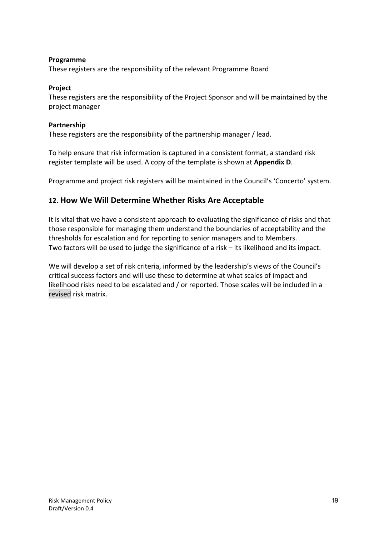#### **Programme**

These registers are the responsibility of the relevant Programme Board

#### **Project**

These registers are the responsibility of the Project Sponsor and will be maintained by the project manager

#### **Partnership**

These registers are the responsibility of the partnership manager / lead.

To help ensure that risk information is captured in a consistent format, a standard risk register template will be used. A copy of the template is shown at **Appendix D**.

Programme and project risk registers will be maintained in the Council's 'Concerto' system.

## **12. How We Will Determine Whether Risks Are Acceptable**

It is vital that we have a consistent approach to evaluating the significance of risks and that those responsible for managing them understand the boundaries of acceptability and the thresholds for escalation and for reporting to senior managers and to Members. Two factors will be used to judge the significance of a risk – its likelihood and its impact.

We will develop a set of risk criteria, informed by the leadership's views of the Council's critical success factors and will use these to determine at what scales of impact and likelihood risks need to be escalated and / or reported. Those scales will be included in a revised risk matrix.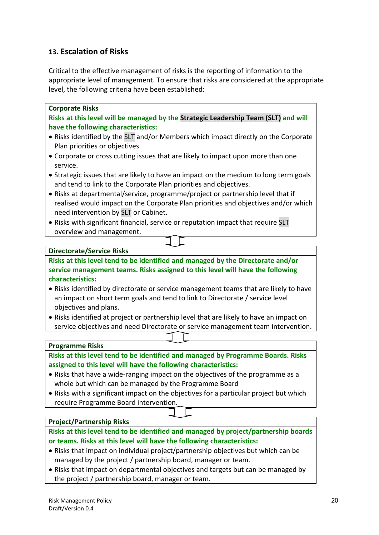## **13. Escalation of Risks**

Critical to the effective management of risks is the reporting of information to the appropriate level of management. To ensure that risks are considered at the appropriate level, the following criteria have been established:

• Risks with significant financial, service or reputation impact that require SLT overview and management.

#### **Directorate/Service Risks**

**Risks at this level tend to be identified and managed by the Directorate and/or service management teams. Risks assigned to this level will have the following characteristics:**

- Risks identified by directorate or service management teams that are likely to have an impact on short term goals and tend to link to Directorate / service level objectives and plans.
- Risks identified at project or partnership level that are likely to have an impact on service objectives and need Directorate or service management team intervention.

#### **Programme Risks**

**Risks at this level tend to be identified and managed by Programme Boards. Risks assigned to this level will have the following characteristics:**

- Risks that have a wide-ranging impact on the objectives of the programme as a whole but which can be managed by the Programme Board
- Risks with a significant impact on the objectives for a particular project but which require Programme Board intervention.

#### **Project/Partnership Risks**

**Risks at this level tend to be identified and managed by project/partnership boards or teams. Risks at this level will have the following characteristics:**

- Risks that impact on individual project/partnership objectives but which can be managed by the project / partnership board, manager or team.
- Risks that impact on departmental objectives and targets but can be managed by the project / partnership board, manager or team.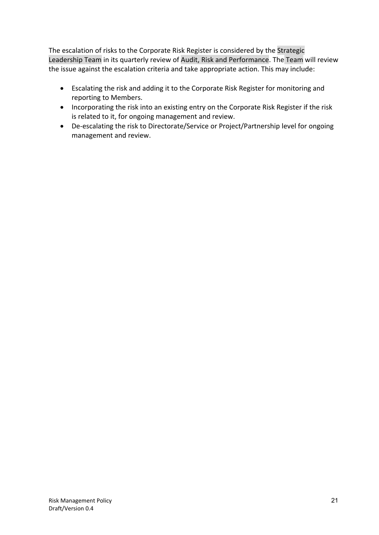The escalation of risks to the Corporate Risk Register is considered by the Strategic Leadership Team in its quarterly review of Audit, Risk and Performance. The Team will review the issue against the escalation criteria and take appropriate action. This may include:

- Escalating the risk and adding it to the Corporate Risk Register for monitoring and reporting to Members.
- Incorporating the risk into an existing entry on the Corporate Risk Register if the risk is related to it, for ongoing management and review.
- De-escalating the risk to Directorate/Service or Project/Partnership level for ongoing management and review.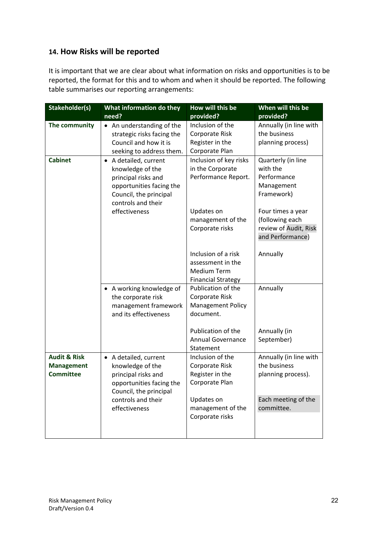## **14. How Risks will be reported**

It is important that we are clear about what information on risks and opportunities is to be reported, the format for this and to whom and when it should be reported. The following table summarises our reporting arrangements:

| Stakeholder(s)          | What information do they                   | How will this be          | When will this be      |
|-------------------------|--------------------------------------------|---------------------------|------------------------|
|                         | need?                                      | provided?                 | provided?              |
| The community           | • An understanding of the                  | Inclusion of the          | Annually (in line with |
|                         | strategic risks facing the                 | Corporate Risk            | the business           |
|                         | Council and how it is                      | Register in the           | planning process)      |
|                         | seeking to address them.                   | Corporate Plan            |                        |
| <b>Cabinet</b>          | • A detailed, current                      | Inclusion of key risks    | Quarterly (in line     |
|                         | knowledge of the                           | in the Corporate          | with the               |
|                         | principal risks and                        | Performance Report.       | Performance            |
|                         | opportunities facing the                   |                           | Management             |
|                         | Council, the principal                     |                           | Framework)             |
|                         | controls and their                         |                           |                        |
|                         | effectiveness                              | Updates on                | Four times a year      |
|                         |                                            | management of the         | (following each        |
|                         |                                            | Corporate risks           | review of Audit, Risk  |
|                         |                                            |                           | and Performance)       |
|                         |                                            | Inclusion of a risk       |                        |
|                         |                                            | assessment in the         | Annually               |
|                         |                                            | <b>Medium Term</b>        |                        |
|                         |                                            | <b>Financial Strategy</b> |                        |
|                         |                                            | Publication of the        | Annually               |
|                         | • A working knowledge of                   | Corporate Risk            |                        |
|                         | the corporate risk<br>management framework | <b>Management Policy</b>  |                        |
|                         | and its effectiveness                      | document.                 |                        |
|                         |                                            |                           |                        |
|                         |                                            | Publication of the        | Annually (in           |
|                         |                                            | <b>Annual Governance</b>  | September)             |
|                         |                                            | Statement                 |                        |
| <b>Audit &amp; Risk</b> | • A detailed, current                      | Inclusion of the          | Annually (in line with |
| <b>Management</b>       | knowledge of the                           | Corporate Risk            | the business           |
| <b>Committee</b>        | principal risks and                        | Register in the           | planning process).     |
|                         | opportunities facing the                   | Corporate Plan            |                        |
|                         | Council, the principal                     |                           |                        |
|                         | controls and their                         | Updates on                | Each meeting of the    |
|                         | effectiveness                              | management of the         | committee.             |
|                         |                                            | Corporate risks           |                        |
|                         |                                            |                           |                        |
|                         |                                            |                           |                        |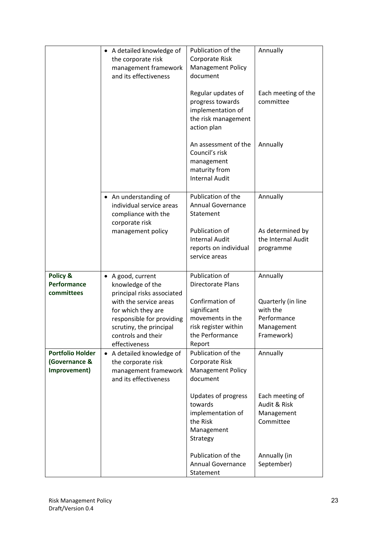|                                                          | • A detailed knowledge of                                                                                                                                                 | Publication of the                                                                                      | Annually                                                                  |
|----------------------------------------------------------|---------------------------------------------------------------------------------------------------------------------------------------------------------------------------|---------------------------------------------------------------------------------------------------------|---------------------------------------------------------------------------|
|                                                          | the corporate risk<br>management framework<br>and its effectiveness                                                                                                       | Corporate Risk<br><b>Management Policy</b><br>document                                                  |                                                                           |
|                                                          |                                                                                                                                                                           | Regular updates of<br>progress towards<br>implementation of<br>the risk management<br>action plan       | Each meeting of the<br>committee                                          |
|                                                          |                                                                                                                                                                           | An assessment of the<br>Council's risk<br>management<br>maturity from<br><b>Internal Audit</b>          | Annually                                                                  |
|                                                          | • An understanding of<br>individual service areas<br>compliance with the<br>corporate risk                                                                                | Publication of the<br><b>Annual Governance</b><br>Statement                                             | Annually                                                                  |
|                                                          | management policy                                                                                                                                                         | Publication of<br><b>Internal Audit</b><br>reports on individual<br>service areas                       | As determined by<br>the Internal Audit<br>programme                       |
| Policy &<br><b>Performance</b>                           | • A good, current<br>knowledge of the                                                                                                                                     | Publication of<br>Directorate Plans                                                                     | Annually                                                                  |
| committees                                               | principal risks associated<br>with the service areas<br>for which they are<br>responsible for providing<br>scrutiny, the principal<br>controls and their<br>effectiveness | Confirmation of<br>significant<br>movements in the<br>risk register within<br>the Performance<br>Report | Quarterly (in line<br>with the<br>Performance<br>Management<br>Framework) |
| <b>Portfolio Holder</b><br>(Governance &<br>Improvement) | A detailed knowledge of<br>$\bullet$<br>the corporate risk<br>management framework<br>and its effectiveness                                                               | Publication of the<br>Corporate Risk<br><b>Management Policy</b><br>document                            | Annually                                                                  |
|                                                          |                                                                                                                                                                           | <b>Updates of progress</b><br>towards<br>implementation of<br>the Risk<br>Management<br>Strategy        | Each meeting of<br>Audit & Risk<br>Management<br>Committee                |
|                                                          |                                                                                                                                                                           | Publication of the<br><b>Annual Governance</b><br>Statement                                             | Annually (in<br>September)                                                |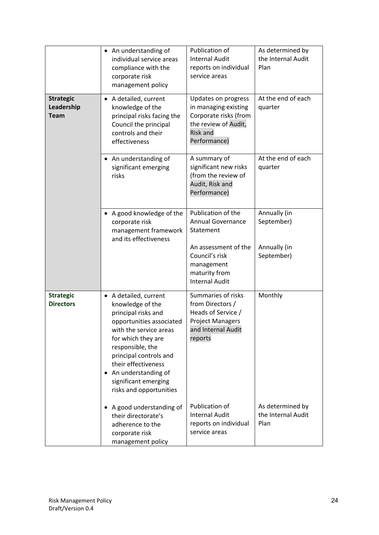|                                               | • An understanding of<br>individual service areas<br>compliance with the<br>corporate risk<br>management policy                                                                                                                                                                                  | Publication of<br><b>Internal Audit</b><br>reports on individual<br>service areas                                                                             | As determined by<br>the Internal Audit<br>Plan           |
|-----------------------------------------------|--------------------------------------------------------------------------------------------------------------------------------------------------------------------------------------------------------------------------------------------------------------------------------------------------|---------------------------------------------------------------------------------------------------------------------------------------------------------------|----------------------------------------------------------|
| <b>Strategic</b><br>Leadership<br><b>Team</b> | • A detailed, current<br>knowledge of the<br>principal risks facing the<br>Council the principal<br>controls and their<br>effectiveness                                                                                                                                                          | Updates on progress<br>in managing existing<br>Corporate risks (from<br>the review of Audit,<br><b>Risk and</b><br>Performance)                               | At the end of each<br>quarter                            |
|                                               | • An understanding of<br>significant emerging<br>risks                                                                                                                                                                                                                                           | A summary of<br>significant new risks<br>(from the review of<br>Audit, Risk and<br>Performance)                                                               | At the end of each<br>quarter                            |
|                                               | • A good knowledge of the<br>corporate risk<br>management framework<br>and its effectiveness                                                                                                                                                                                                     | Publication of the<br><b>Annual Governance</b><br>Statement<br>An assessment of the<br>Council's risk<br>management<br>maturity from<br><b>Internal Audit</b> | Annually (in<br>September)<br>Annually (in<br>September) |
| <b>Strategic</b><br><b>Directors</b>          | • A detailed, current<br>knowledge of the<br>principal risks and<br>opportunities associated<br>with the service areas<br>for which they are<br>responsible, the<br>principal controls and<br>their effectiveness<br>An understanding of<br>٠<br>significant emerging<br>risks and opportunities | Summaries of risks<br>from Directors /<br>Heads of Service /<br><b>Project Managers</b><br>and Internal Audit<br>reports                                      | Monthly                                                  |
|                                               | A good understanding of<br>٠<br>their directorate's<br>adherence to the<br>corporate risk<br>management policy                                                                                                                                                                                   | Publication of<br><b>Internal Audit</b><br>reports on individual<br>service areas                                                                             | As determined by<br>the Internal Audit<br>Plan           |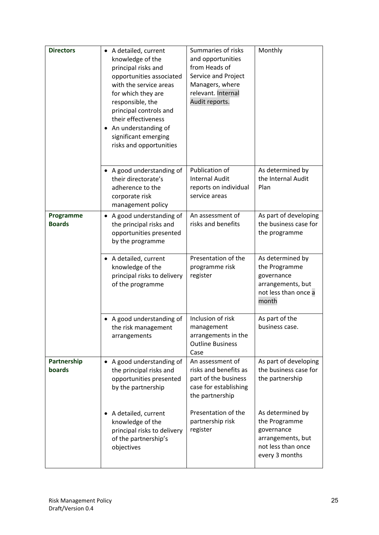| <b>Directors</b>           | • A detailed, current<br>knowledge of the<br>principal risks and<br>opportunities associated<br>with the service areas<br>for which they are<br>responsible, the<br>principal controls and<br>their effectiveness<br>• An understanding of<br>significant emerging<br>risks and opportunities | Summaries of risks<br>and opportunities<br>from Heads of<br>Service and Project<br>Managers, where<br>relevant. Internal<br>Audit reports. | Monthly                                                                                                      |
|----------------------------|-----------------------------------------------------------------------------------------------------------------------------------------------------------------------------------------------------------------------------------------------------------------------------------------------|--------------------------------------------------------------------------------------------------------------------------------------------|--------------------------------------------------------------------------------------------------------------|
|                            | • A good understanding of<br>their directorate's<br>adherence to the<br>corporate risk<br>management policy                                                                                                                                                                                   | Publication of<br><b>Internal Audit</b><br>reports on individual<br>service areas                                                          | As determined by<br>the Internal Audit<br>Plan                                                               |
| Programme<br><b>Boards</b> | A good understanding of<br>$\bullet$<br>the principal risks and<br>opportunities presented<br>by the programme                                                                                                                                                                                | An assessment of<br>risks and benefits                                                                                                     | As part of developing<br>the business case for<br>the programme                                              |
|                            | • A detailed, current<br>knowledge of the<br>principal risks to delivery<br>of the programme                                                                                                                                                                                                  | Presentation of the<br>programme risk<br>register                                                                                          | As determined by<br>the Programme<br>governance<br>arrangements, but<br>not less than once a<br>month        |
|                            | • A good understanding of<br>the risk management<br>arrangements                                                                                                                                                                                                                              | Inclusion of risk<br>management<br>arrangements in the<br><b>Outline Business</b><br>Case                                                  | As part of the<br>business case.                                                                             |
| Partnership<br>boards      | A good understanding of<br>the principal risks and<br>opportunities presented<br>by the partnership                                                                                                                                                                                           | An assessment of<br>risks and benefits as<br>part of the business<br>case for establishing<br>the partnership                              | As part of developing<br>the business case for<br>the partnership                                            |
|                            | A detailed, current<br>٠<br>knowledge of the<br>principal risks to delivery<br>of the partnership's<br>objectives                                                                                                                                                                             | Presentation of the<br>partnership risk<br>register                                                                                        | As determined by<br>the Programme<br>governance<br>arrangements, but<br>not less than once<br>every 3 months |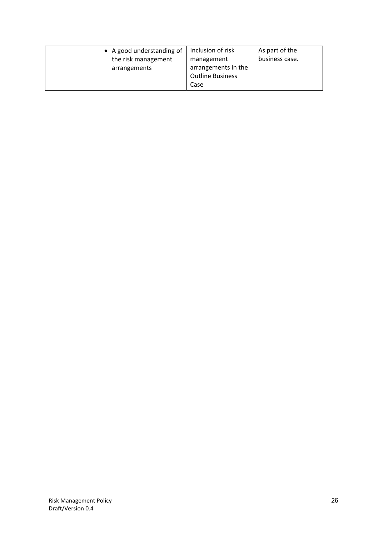| • A good understanding of<br>the risk management<br>arrangements | Inclusion of risk<br>management<br>arrangements in the<br><b>Outline Business</b><br>Case | As part of the<br>business case. |
|------------------------------------------------------------------|-------------------------------------------------------------------------------------------|----------------------------------|
|------------------------------------------------------------------|-------------------------------------------------------------------------------------------|----------------------------------|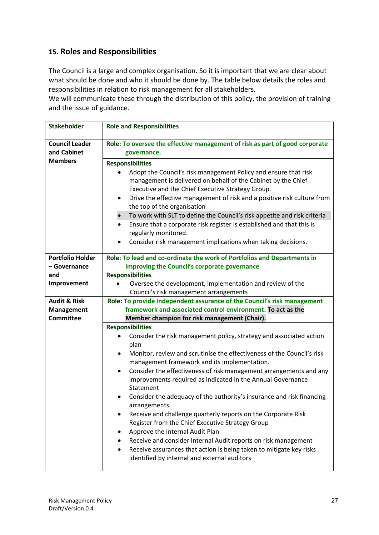## **15. Roles and Responsibilities**

The Council is a large and complex organisation. So it is important that we are clear about what should be done and who it should be done by. The table below details the roles and responsibilities in relation to risk management for all stakeholders.

We will communicate these through the distribution of this policy, the provision of training and the issue of guidance.

| <b>Stakeholder</b>                   | <b>Role and Responsibilities</b>                                                                                                                                                                      |  |  |
|--------------------------------------|-------------------------------------------------------------------------------------------------------------------------------------------------------------------------------------------------------|--|--|
| <b>Council Leader</b><br>and Cabinet | Role: To oversee the effective management of risk as part of good corporate<br>governance.<br><b>Responsibilities</b><br>Adopt the Council's risk management Policy and ensure that risk<br>$\bullet$ |  |  |
| <b>Members</b>                       |                                                                                                                                                                                                       |  |  |
|                                      | management is delivered on behalf of the Cabinet by the Chief<br>Executive and the Chief Executive Strategy Group.<br>Drive the effective management of risk and a positive risk culture from<br>٠    |  |  |
|                                      | the top of the organisation                                                                                                                                                                           |  |  |
|                                      | To work with SLT to define the Council's risk appetite and risk criteria<br>Ensure that a corporate risk register is established and that this is<br>$\bullet$<br>regularly monitored.                |  |  |
|                                      | Consider risk management implications when taking decisions.                                                                                                                                          |  |  |
| <b>Portfolio Holder</b>              | Role: To lead and co-ordinate the work of Portfolios and Departments in                                                                                                                               |  |  |
| - Governance<br>and                  | improving the Council's corporate governance<br><b>Responsibilities</b>                                                                                                                               |  |  |
| Improvement                          | Oversee the development, implementation and review of the<br>Council's risk management arrangements                                                                                                   |  |  |
| <b>Audit &amp; Risk</b>              | Role: To provide independent assurance of the Council's risk management                                                                                                                               |  |  |
| <b>Management</b>                    | framework and associated control environment. To act as the                                                                                                                                           |  |  |
| <b>Committee</b>                     | Member champion for risk management (Chair).                                                                                                                                                          |  |  |
|                                      | <b>Responsibilities</b>                                                                                                                                                                               |  |  |
|                                      | Consider the risk management policy, strategy and associated action<br>plan                                                                                                                           |  |  |
|                                      | Monitor, review and scrutinise the effectiveness of the Council's risk<br>management framework and its implementation.                                                                                |  |  |
|                                      | Consider the effectiveness of risk management arrangements and any<br>٠<br>improvements required as indicated in the Annual Governance<br>Statement                                                   |  |  |
|                                      | Consider the adequacy of the authority's insurance and risk financing<br>arrangements                                                                                                                 |  |  |
|                                      | Receive and challenge quarterly reports on the Corporate Risk<br>Register from the Chief Executive Strategy Group                                                                                     |  |  |
|                                      | Approve the Internal Audit Plan                                                                                                                                                                       |  |  |
|                                      | Receive and consider Internal Audit reports on risk management<br>Receive assurances that action is being taken to mitigate key risks<br>identified by internal and external auditors                 |  |  |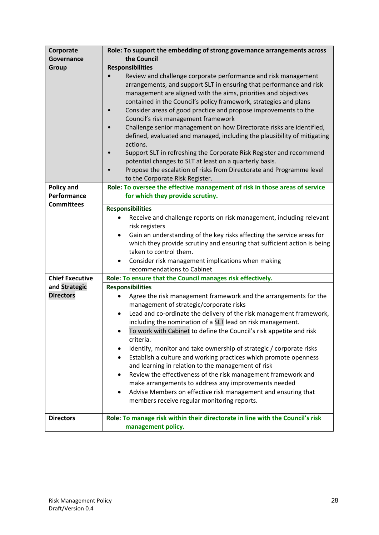| Corporate              | Role: To support the embedding of strong governance arrangements across                                                                                                                                                                                                                                                                                                                                                                                                                                                                                                                                                                                                                                                                                                                     |  |  |
|------------------------|---------------------------------------------------------------------------------------------------------------------------------------------------------------------------------------------------------------------------------------------------------------------------------------------------------------------------------------------------------------------------------------------------------------------------------------------------------------------------------------------------------------------------------------------------------------------------------------------------------------------------------------------------------------------------------------------------------------------------------------------------------------------------------------------|--|--|
| <b>Governance</b>      | the Council                                                                                                                                                                                                                                                                                                                                                                                                                                                                                                                                                                                                                                                                                                                                                                                 |  |  |
| Group                  | <b>Responsibilities</b>                                                                                                                                                                                                                                                                                                                                                                                                                                                                                                                                                                                                                                                                                                                                                                     |  |  |
|                        | Review and challenge corporate performance and risk management<br>arrangements, and support SLT in ensuring that performance and risk<br>management are aligned with the aims, priorities and objectives<br>contained in the Council's policy framework, strategies and plans<br>Consider areas of good practice and propose improvements to the<br>$\bullet$<br>Council's risk management framework<br>Challenge senior management on how Directorate risks are identified,<br>$\bullet$<br>defined, evaluated and managed, including the plausibility of mitigating<br>actions.<br>Support SLT in refreshing the Corporate Risk Register and recommend<br>potential changes to SLT at least on a quarterly basis.<br>Propose the escalation of risks from Directorate and Programme level |  |  |
|                        | to the Corporate Risk Register.                                                                                                                                                                                                                                                                                                                                                                                                                                                                                                                                                                                                                                                                                                                                                             |  |  |
| <b>Policy and</b>      | Role: To oversee the effective management of risk in those areas of service                                                                                                                                                                                                                                                                                                                                                                                                                                                                                                                                                                                                                                                                                                                 |  |  |
| Performance            | for which they provide scrutiny.                                                                                                                                                                                                                                                                                                                                                                                                                                                                                                                                                                                                                                                                                                                                                            |  |  |
| <b>Committees</b>      | <b>Responsibilities</b>                                                                                                                                                                                                                                                                                                                                                                                                                                                                                                                                                                                                                                                                                                                                                                     |  |  |
|                        | Receive and challenge reports on risk management, including relevant                                                                                                                                                                                                                                                                                                                                                                                                                                                                                                                                                                                                                                                                                                                        |  |  |
|                        | risk registers                                                                                                                                                                                                                                                                                                                                                                                                                                                                                                                                                                                                                                                                                                                                                                              |  |  |
|                        | Gain an understanding of the key risks affecting the service areas for<br>٠                                                                                                                                                                                                                                                                                                                                                                                                                                                                                                                                                                                                                                                                                                                 |  |  |
|                        | which they provide scrutiny and ensuring that sufficient action is being                                                                                                                                                                                                                                                                                                                                                                                                                                                                                                                                                                                                                                                                                                                    |  |  |
|                        | taken to control them.                                                                                                                                                                                                                                                                                                                                                                                                                                                                                                                                                                                                                                                                                                                                                                      |  |  |
|                        | Consider risk management implications when making<br>٠                                                                                                                                                                                                                                                                                                                                                                                                                                                                                                                                                                                                                                                                                                                                      |  |  |
|                        | recommendations to Cabinet                                                                                                                                                                                                                                                                                                                                                                                                                                                                                                                                                                                                                                                                                                                                                                  |  |  |
| <b>Chief Executive</b> | Role: To ensure that the Council manages risk effectively.                                                                                                                                                                                                                                                                                                                                                                                                                                                                                                                                                                                                                                                                                                                                  |  |  |
| and Strategic          | <b>Responsibilities</b>                                                                                                                                                                                                                                                                                                                                                                                                                                                                                                                                                                                                                                                                                                                                                                     |  |  |
| <b>Directors</b>       | Agree the risk management framework and the arrangements for the<br>management of strategic/corporate risks                                                                                                                                                                                                                                                                                                                                                                                                                                                                                                                                                                                                                                                                                 |  |  |
|                        | Lead and co-ordinate the delivery of the risk management framework,<br>$\bullet$                                                                                                                                                                                                                                                                                                                                                                                                                                                                                                                                                                                                                                                                                                            |  |  |
|                        | including the nomination of a SLT lead on risk management.                                                                                                                                                                                                                                                                                                                                                                                                                                                                                                                                                                                                                                                                                                                                  |  |  |
|                        | To work with Cabinet to define the Council's risk appetite and risk<br>criteria.                                                                                                                                                                                                                                                                                                                                                                                                                                                                                                                                                                                                                                                                                                            |  |  |
|                        | Identify, monitor and take ownership of strategic / corporate risks<br>٠                                                                                                                                                                                                                                                                                                                                                                                                                                                                                                                                                                                                                                                                                                                    |  |  |
|                        | Establish a culture and working practices which promote openness<br>$\bullet$                                                                                                                                                                                                                                                                                                                                                                                                                                                                                                                                                                                                                                                                                                               |  |  |
|                        | and learning in relation to the management of risk                                                                                                                                                                                                                                                                                                                                                                                                                                                                                                                                                                                                                                                                                                                                          |  |  |
|                        | Review the effectiveness of the risk management framework and<br>٠                                                                                                                                                                                                                                                                                                                                                                                                                                                                                                                                                                                                                                                                                                                          |  |  |
|                        | make arrangements to address any improvements needed                                                                                                                                                                                                                                                                                                                                                                                                                                                                                                                                                                                                                                                                                                                                        |  |  |
|                        | Advise Members on effective risk management and ensuring that<br>members receive regular monitoring reports.                                                                                                                                                                                                                                                                                                                                                                                                                                                                                                                                                                                                                                                                                |  |  |
| <b>Directors</b>       | Role: To manage risk within their directorate in line with the Council's risk                                                                                                                                                                                                                                                                                                                                                                                                                                                                                                                                                                                                                                                                                                               |  |  |
|                        | management policy.                                                                                                                                                                                                                                                                                                                                                                                                                                                                                                                                                                                                                                                                                                                                                                          |  |  |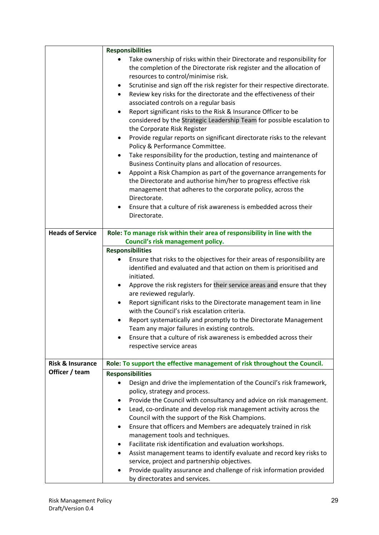|                             | <b>Responsibilities</b>                                                                                                                                                                                                            |  |  |
|-----------------------------|------------------------------------------------------------------------------------------------------------------------------------------------------------------------------------------------------------------------------------|--|--|
|                             | Take ownership of risks within their Directorate and responsibility for<br>the completion of the Directorate risk register and the allocation of<br>resources to control/minimise risk.                                            |  |  |
|                             | Scrutinise and sign off the risk register for their respective directorate.<br>٠<br>Review key risks for the directorate and the effectiveness of their<br>$\bullet$<br>associated controls on a regular basis                     |  |  |
|                             | Report significant risks to the Risk & Insurance Officer to be<br>$\bullet$<br>considered by the Strategic Leadership Team for possible escalation to<br>the Corporate Risk Register                                               |  |  |
|                             | Provide regular reports on significant directorate risks to the relevant<br>٠<br>Policy & Performance Committee.                                                                                                                   |  |  |
|                             | Take responsibility for the production, testing and maintenance of<br>٠<br>Business Continuity plans and allocation of resources.                                                                                                  |  |  |
|                             | Appoint a Risk Champion as part of the governance arrangements for<br>$\bullet$<br>the Directorate and authorise him/her to progress effective risk<br>management that adheres to the corporate policy, across the<br>Directorate. |  |  |
|                             | Ensure that a culture of risk awareness is embedded across their<br>٠<br>Directorate.                                                                                                                                              |  |  |
| <b>Heads of Service</b>     | Role: To manage risk within their area of responsibility in line with the                                                                                                                                                          |  |  |
|                             | Council's risk management policy.                                                                                                                                                                                                  |  |  |
|                             | <b>Responsibilities</b>                                                                                                                                                                                                            |  |  |
|                             | Ensure that risks to the objectives for their areas of responsibility are                                                                                                                                                          |  |  |
|                             | identified and evaluated and that action on them is prioritised and<br>initiated.                                                                                                                                                  |  |  |
|                             | Approve the risk registers for their service areas and ensure that they<br>٠<br>are reviewed regularly.                                                                                                                            |  |  |
|                             | Report significant risks to the Directorate management team in line<br>$\bullet$<br>with the Council's risk escalation criteria.                                                                                                   |  |  |
|                             | Report systematically and promptly to the Directorate Management<br>Team any major failures in existing controls.                                                                                                                  |  |  |
|                             | Ensure that a culture of risk awareness is embedded across their<br>$\bullet$                                                                                                                                                      |  |  |
|                             | respective service areas                                                                                                                                                                                                           |  |  |
|                             |                                                                                                                                                                                                                                    |  |  |
| <b>Risk &amp; Insurance</b> | Role: To support the effective management of risk throughout the Council.                                                                                                                                                          |  |  |
| Officer / team              | <b>Responsibilities</b>                                                                                                                                                                                                            |  |  |
|                             | Design and drive the implementation of the Council's risk framework,                                                                                                                                                               |  |  |
|                             | policy, strategy and process.<br>Provide the Council with consultancy and advice on risk management.                                                                                                                               |  |  |
|                             | ٠<br>Lead, co-ordinate and develop risk management activity across the<br>$\bullet$                                                                                                                                                |  |  |
|                             | Council with the support of the Risk Champions.                                                                                                                                                                                    |  |  |
|                             | Ensure that officers and Members are adequately trained in risk<br>٠                                                                                                                                                               |  |  |
|                             | management tools and techniques.                                                                                                                                                                                                   |  |  |
|                             | Facilitate risk identification and evaluation workshops.<br>٠                                                                                                                                                                      |  |  |
|                             | Assist management teams to identify evaluate and record key risks to<br>٠<br>service, project and partnership objectives.                                                                                                          |  |  |
|                             | Provide quality assurance and challenge of risk information provided<br>٠                                                                                                                                                          |  |  |
|                             | by directorates and services.                                                                                                                                                                                                      |  |  |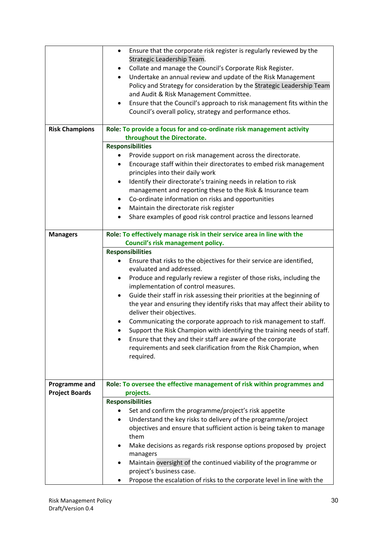|                       | Ensure that the corporate risk register is regularly reviewed by the<br>$\bullet$<br>Strategic Leadership Team.<br>Collate and manage the Council's Corporate Risk Register.<br>٠<br>Undertake an annual review and update of the Risk Management<br>Policy and Strategy for consideration by the Strategic Leadership Team<br>and Audit & Risk Management Committee.<br>Ensure that the Council's approach to risk management fits within the<br>$\bullet$<br>Council's overall policy, strategy and performance ethos. |  |  |
|-----------------------|--------------------------------------------------------------------------------------------------------------------------------------------------------------------------------------------------------------------------------------------------------------------------------------------------------------------------------------------------------------------------------------------------------------------------------------------------------------------------------------------------------------------------|--|--|
| <b>Risk Champions</b> | Role: To provide a focus for and co-ordinate risk management activity                                                                                                                                                                                                                                                                                                                                                                                                                                                    |  |  |
|                       | throughout the Directorate.                                                                                                                                                                                                                                                                                                                                                                                                                                                                                              |  |  |
|                       | <b>Responsibilities</b>                                                                                                                                                                                                                                                                                                                                                                                                                                                                                                  |  |  |
|                       | Provide support on risk management across the directorate.                                                                                                                                                                                                                                                                                                                                                                                                                                                               |  |  |
|                       | Encourage staff within their directorates to embed risk management<br>٠                                                                                                                                                                                                                                                                                                                                                                                                                                                  |  |  |
|                       | principles into their daily work                                                                                                                                                                                                                                                                                                                                                                                                                                                                                         |  |  |
|                       | Identify their directorate's training needs in relation to risk<br>٠                                                                                                                                                                                                                                                                                                                                                                                                                                                     |  |  |
|                       | management and reporting these to the Risk & Insurance team                                                                                                                                                                                                                                                                                                                                                                                                                                                              |  |  |
|                       | Co-ordinate information on risks and opportunities<br>٠                                                                                                                                                                                                                                                                                                                                                                                                                                                                  |  |  |
|                       | Maintain the directorate risk register<br>$\bullet$                                                                                                                                                                                                                                                                                                                                                                                                                                                                      |  |  |
|                       | Share examples of good risk control practice and lessons learned                                                                                                                                                                                                                                                                                                                                                                                                                                                         |  |  |
|                       |                                                                                                                                                                                                                                                                                                                                                                                                                                                                                                                          |  |  |
| <b>Managers</b>       | Role: To effectively manage risk in their service area in line with the                                                                                                                                                                                                                                                                                                                                                                                                                                                  |  |  |
|                       | Council's risk management policy.                                                                                                                                                                                                                                                                                                                                                                                                                                                                                        |  |  |
|                       | <b>Responsibilities</b>                                                                                                                                                                                                                                                                                                                                                                                                                                                                                                  |  |  |
|                       | Ensure that risks to the objectives for their service are identified,                                                                                                                                                                                                                                                                                                                                                                                                                                                    |  |  |
|                       | evaluated and addressed.                                                                                                                                                                                                                                                                                                                                                                                                                                                                                                 |  |  |
|                       | Produce and regularly review a register of those risks, including the                                                                                                                                                                                                                                                                                                                                                                                                                                                    |  |  |
|                       | implementation of control measures.                                                                                                                                                                                                                                                                                                                                                                                                                                                                                      |  |  |
|                       | Guide their staff in risk assessing their priorities at the beginning of<br>٠                                                                                                                                                                                                                                                                                                                                                                                                                                            |  |  |
|                       | the year and ensuring they identify risks that may affect their ability to                                                                                                                                                                                                                                                                                                                                                                                                                                               |  |  |
|                       | deliver their objectives.                                                                                                                                                                                                                                                                                                                                                                                                                                                                                                |  |  |
|                       | Communicating the corporate approach to risk management to staff.<br>$\bullet$                                                                                                                                                                                                                                                                                                                                                                                                                                           |  |  |
|                       | Support the Risk Champion with identifying the training needs of staff.                                                                                                                                                                                                                                                                                                                                                                                                                                                  |  |  |
|                       | Ensure that they and their staff are aware of the corporate                                                                                                                                                                                                                                                                                                                                                                                                                                                              |  |  |
|                       | requirements and seek clarification from the Risk Champion, when                                                                                                                                                                                                                                                                                                                                                                                                                                                         |  |  |
|                       | required.                                                                                                                                                                                                                                                                                                                                                                                                                                                                                                                |  |  |
|                       |                                                                                                                                                                                                                                                                                                                                                                                                                                                                                                                          |  |  |
|                       |                                                                                                                                                                                                                                                                                                                                                                                                                                                                                                                          |  |  |
| <b>Programme and</b>  | Role: To oversee the effective management of risk within programmes and                                                                                                                                                                                                                                                                                                                                                                                                                                                  |  |  |
| <b>Project Boards</b> | projects.                                                                                                                                                                                                                                                                                                                                                                                                                                                                                                                |  |  |
|                       | <b>Responsibilities</b>                                                                                                                                                                                                                                                                                                                                                                                                                                                                                                  |  |  |
|                       | Set and confirm the programme/project's risk appetite                                                                                                                                                                                                                                                                                                                                                                                                                                                                    |  |  |
|                       | Understand the key risks to delivery of the programme/project                                                                                                                                                                                                                                                                                                                                                                                                                                                            |  |  |
|                       | objectives and ensure that sufficient action is being taken to manage                                                                                                                                                                                                                                                                                                                                                                                                                                                    |  |  |
|                       | them                                                                                                                                                                                                                                                                                                                                                                                                                                                                                                                     |  |  |
|                       | Make decisions as regards risk response options proposed by project<br>٠                                                                                                                                                                                                                                                                                                                                                                                                                                                 |  |  |
|                       | managers                                                                                                                                                                                                                                                                                                                                                                                                                                                                                                                 |  |  |
|                       | Maintain oversight of the continued viability of the programme or<br>٠                                                                                                                                                                                                                                                                                                                                                                                                                                                   |  |  |
|                       | project's business case.                                                                                                                                                                                                                                                                                                                                                                                                                                                                                                 |  |  |
|                       | Propose the escalation of risks to the corporate level in line with the                                                                                                                                                                                                                                                                                                                                                                                                                                                  |  |  |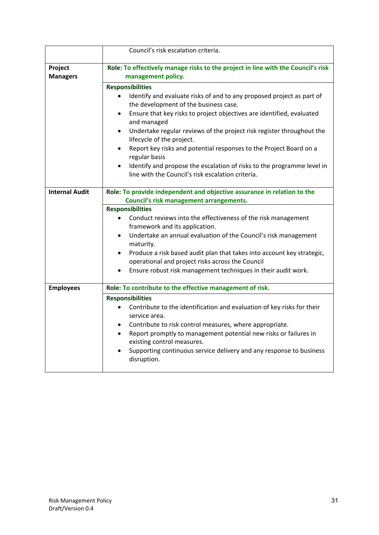|                            | Council's risk escalation criteria.                                                                                                                                                                                                                                                                                                                                                                                                                                                                                                                                                                                            |  |
|----------------------------|--------------------------------------------------------------------------------------------------------------------------------------------------------------------------------------------------------------------------------------------------------------------------------------------------------------------------------------------------------------------------------------------------------------------------------------------------------------------------------------------------------------------------------------------------------------------------------------------------------------------------------|--|
| Project<br><b>Managers</b> | Role: To effectively manage risks to the project in line with the Council's risk<br>management policy.                                                                                                                                                                                                                                                                                                                                                                                                                                                                                                                         |  |
|                            | <b>Responsibilities</b><br>Identify and evaluate risks of and to any proposed project as part of<br>$\bullet$<br>the development of the business case.<br>Ensure that key risks to project objectives are identified, evaluated<br>$\bullet$<br>and managed<br>Undertake regular reviews of the project risk register throughout the<br>$\bullet$<br>lifecycle of the project.<br>Report key risks and potential responses to the Project Board on a<br>$\bullet$<br>regular basis<br>Identify and propose the escalation of risks to the programme level in<br>$\bullet$<br>line with the Council's risk escalation criteria. |  |
| <b>Internal Audit</b>      | Role: To provide independent and objective assurance in relation to the<br>Council's risk management arrangements.<br><b>Responsibilities</b><br>Conduct reviews into the effectiveness of the risk management<br>$\bullet$<br>framework and its application.<br>Undertake an annual evaluation of the Council's risk management<br>$\bullet$<br>maturity.<br>Produce a risk based audit plan that takes into account key strategic,<br>$\bullet$<br>operational and project risks across the Council<br>Ensure robust risk management techniques in their audit work.<br>$\bullet$                                            |  |
| <b>Employees</b>           | Role: To contribute to the effective management of risk.<br><b>Responsibilities</b><br>Contribute to the identification and evaluation of key risks for their<br>$\bullet$<br>service area.<br>Contribute to risk control measures, where appropriate.<br>$\bullet$<br>Report promptly to management potential new risks or failures in<br>$\bullet$<br>existing control measures.<br>Supporting continuous service delivery and any response to business<br>$\bullet$<br>disruption.                                                                                                                                          |  |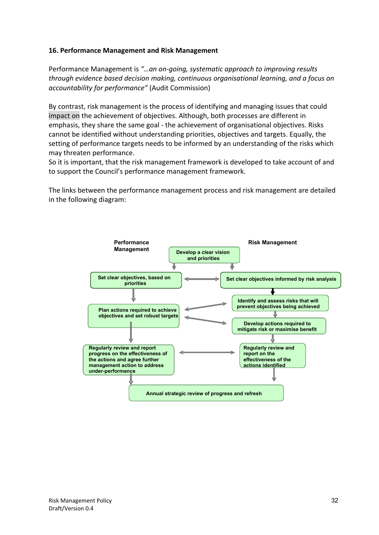#### **16. Performance Management and Risk Management**

Performance Management is *"…an on-going, systematic approach to improving results through evidence based decision making, continuous organisational learning, and a focus on accountability for performance"* (Audit Commission)

By contrast, risk management is the process of identifying and managing issues that could impact on the achievement of objectives. Although, both processes are different in emphasis, they share the same goal - the achievement of organisational objectives. Risks cannot be identified without understanding priorities, objectives and targets. Equally, the setting of performance targets needs to be informed by an understanding of the risks which may threaten performance.

So it is important, that the risk management framework is developed to take account of and to support the Council's performance management framework.

The links between the performance management process and risk management are detailed in the following diagram:

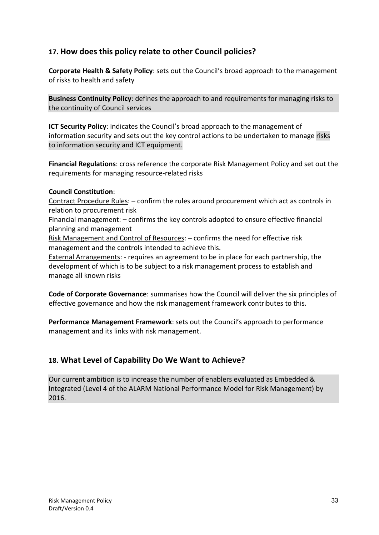## **17. How does this policy relate to other Council policies?**

**Corporate Health & Safety Policy**: sets out the Council's broad approach to the management of risks to health and safety

**Business Continuity Policy**: defines the approach to and requirements for managing risks to the continuity of Council services

**ICT Security Policy**: indicates the Council's broad approach to the management of information security and sets out the key control actions to be undertaken to manage risks to information security and ICT equipment.

**Financial Regulations**: cross reference the corporate Risk Management Policy and set out the requirements for managing resource-related risks

#### **Council Constitution**:

Contract Procedure Rules: – confirm the rules around procurement which act as controls in relation to procurement risk

Financial management: – confirms the key controls adopted to ensure effective financial planning and management

Risk Management and Control of Resources: – confirms the need for effective risk management and the controls intended to achieve this.

External Arrangements: - requires an agreement to be in place for each partnership, the development of which is to be subject to a risk management process to establish and manage all known risks

**Code of Corporate Governance**: summarises how the Council will deliver the six principles of effective governance and how the risk management framework contributes to this.

**Performance Management Framework**: sets out the Council's approach to performance management and its links with risk management.

## **18. What Level of Capability Do We Want to Achieve?**

Our current ambition is to increase the number of enablers evaluated as Embedded & Integrated (Level 4 of the ALARM National Performance Model for Risk Management) by 2016.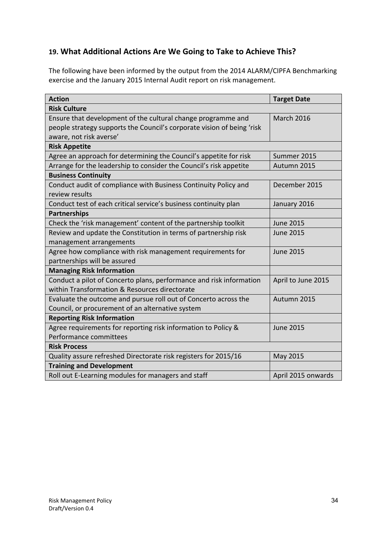## **19. What Additional Actions Are We Going to Take to Achieve This?**

The following have been informed by the output from the 2014 ALARM/CIPFA Benchmarking exercise and the January 2015 Internal Audit report on risk management.

| <b>Action</b>                                                          | <b>Target Date</b> |
|------------------------------------------------------------------------|--------------------|
| <b>Risk Culture</b>                                                    |                    |
| Ensure that development of the cultural change programme and           | <b>March 2016</b>  |
| people strategy supports the Council's corporate vision of being 'risk |                    |
| aware, not risk averse'                                                |                    |
| <b>Risk Appetite</b>                                                   |                    |
| Agree an approach for determining the Council's appetite for risk      | Summer 2015        |
| Arrange for the leadership to consider the Council's risk appetite     | Autumn 2015        |
| <b>Business Continuity</b>                                             |                    |
| Conduct audit of compliance with Business Continuity Policy and        | December 2015      |
| review results                                                         |                    |
| Conduct test of each critical service's business continuity plan       | January 2016       |
| <b>Partnerships</b>                                                    |                    |
| Check the 'risk management' content of the partnership toolkit         | <b>June 2015</b>   |
| Review and update the Constitution in terms of partnership risk        | <b>June 2015</b>   |
| management arrangements                                                |                    |
| Agree how compliance with risk management requirements for             | <b>June 2015</b>   |
| partnerships will be assured                                           |                    |
| <b>Managing Risk Information</b>                                       |                    |
| Conduct a pilot of Concerto plans, performance and risk information    | April to June 2015 |
| within Transformation & Resources directorate                          |                    |
| Evaluate the outcome and pursue roll out of Concerto across the        | Autumn 2015        |
| Council, or procurement of an alternative system                       |                    |
| <b>Reporting Risk Information</b>                                      |                    |
| Agree requirements for reporting risk information to Policy &          | <b>June 2015</b>   |
| Performance committees                                                 |                    |
| <b>Risk Process</b>                                                    |                    |
| Quality assure refreshed Directorate risk registers for 2015/16        | <b>May 2015</b>    |
| <b>Training and Development</b>                                        |                    |
| Roll out E-Learning modules for managers and staff                     | April 2015 onwards |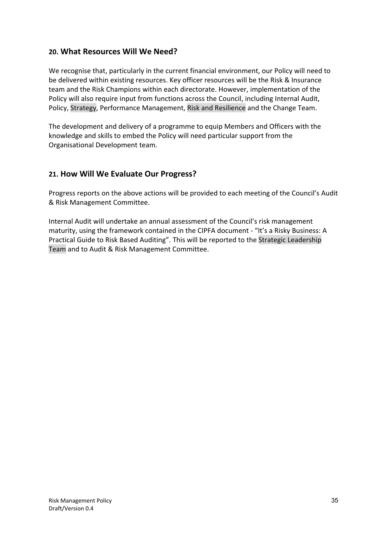## **20. What Resources Will We Need?**

We recognise that, particularly in the current financial environment, our Policy will need to be delivered within existing resources. Key officer resources will be the Risk & Insurance team and the Risk Champions within each directorate. However, implementation of the Policy will also require input from functions across the Council, including Internal Audit, Policy, Strategy, Performance Management, Risk and Resilience and the Change Team.

The development and delivery of a programme to equip Members and Officers with the knowledge and skills to embed the Policy will need particular support from the Organisational Development team.

## **21. How Will We Evaluate Our Progress?**

Progress reports on the above actions will be provided to each meeting of the Council's Audit & Risk Management Committee.

Internal Audit will undertake an annual assessment of the Council's risk management maturity, using the framework contained in the CIPFA document - "It's a Risky Business: A Practical Guide to Risk Based Auditing". This will be reported to the Strategic Leadership Team and to Audit & Risk Management Committee.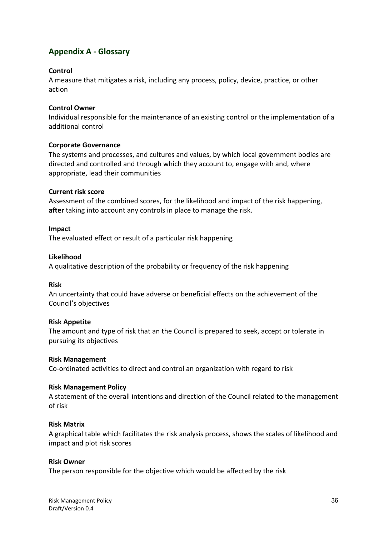## **Appendix A - Glossary**

#### **Control**

A measure that mitigates a risk, including any process, policy, device, practice, or other action

#### **Control Owner**

Individual responsible for the maintenance of an existing control or the implementation of a additional control

#### **Corporate Governance**

The systems and processes, and cultures and values, by which local government bodies are directed and controlled and through which they account to, engage with and, where appropriate, lead their communities

#### **Current risk score**

Assessment of the combined scores, for the likelihood and impact of the risk happening, **after** taking into account any controls in place to manage the risk.

#### **Impact**

The evaluated effect or result of a particular risk happening

#### **Likelihood**

A qualitative description of the probability or frequency of the risk happening

#### **Risk**

An uncertainty that could have adverse or beneficial effects on the achievement of the Council's objectives

#### **Risk Appetite**

The amount and type of risk that an the Council is prepared to seek, accept or tolerate in pursuing its objectives

#### **Risk Management**

Co-ordinated activities to direct and control an organization with regard to risk

#### **Risk Management Policy**

A statement of the overall intentions and direction of the Council related to the management of risk

#### **Risk Matrix**

A graphical table which facilitates the risk analysis process, shows the scales of likelihood and impact and plot risk scores

#### **Risk Owner**

The person responsible for the objective which would be affected by the risk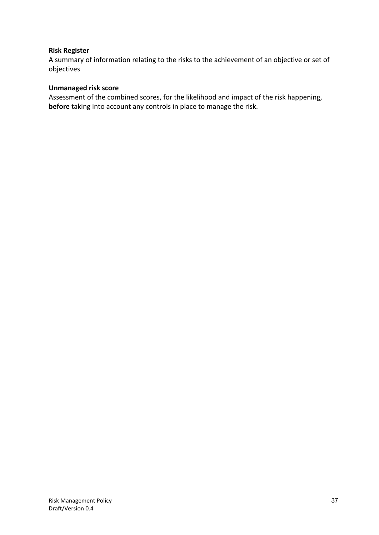#### **Risk Register**

A summary of information relating to the risks to the achievement of an objective or set of objectives

#### **Unmanaged risk score**

Assessment of the combined scores, for the likelihood and impact of the risk happening, **before** taking into account any controls in place to manage the risk.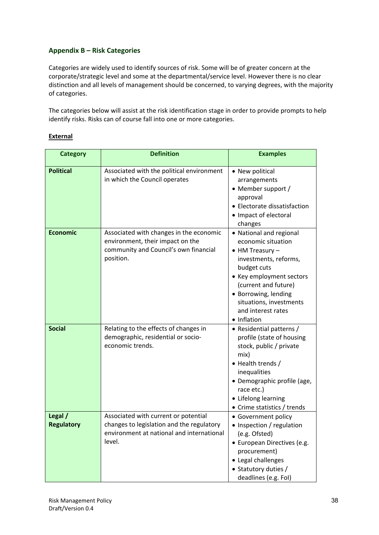#### **Appendix B – Risk Categories**

Categories are widely used to identify sources of risk. Some will be of greater concern at the corporate/strategic level and some at the departmental/service level. However there is no clear distinction and all levels of management should be concerned, to varying degrees, with the majority of categories.

The categories below will assist at the risk identification stage in order to provide prompts to help identify risks. Risks can of course fall into one or more categories.

#### **External**

| <b>Category</b>              | <b>Definition</b>                                                                                                                        | <b>Examples</b>                                                                                                                                                                                                                                                |
|------------------------------|------------------------------------------------------------------------------------------------------------------------------------------|----------------------------------------------------------------------------------------------------------------------------------------------------------------------------------------------------------------------------------------------------------------|
| <b>Political</b>             | Associated with the political environment<br>in which the Council operates                                                               | • New political<br>arrangements<br>• Member support /<br>approval<br>• Electorate dissatisfaction<br>• Impact of electoral<br>changes                                                                                                                          |
| <b>Economic</b>              | Associated with changes in the economic<br>environment, their impact on the<br>community and Council's own financial<br>position.        | • National and regional<br>economic situation<br>$\bullet$ HM Treasury $-$<br>investments, reforms,<br>budget cuts<br>• Key employment sectors<br>(current and future)<br>• Borrowing, lending<br>situations, investments<br>and interest rates<br>• Inflation |
| <b>Social</b>                | Relating to the effects of changes in<br>demographic, residential or socio-<br>economic trends.                                          | • Residential patterns /<br>profile (state of housing<br>stock, public / private<br>mix)<br>• Health trends /<br>inequalities<br>· Demographic profile (age,<br>race etc.)<br>• Lifelong learning<br>• Crime statistics / trends                               |
| Legal /<br><b>Regulatory</b> | Associated with current or potential<br>changes to legislation and the regulatory<br>environment at national and international<br>level. | • Government policy<br>• Inspection / regulation<br>(e.g. Ofsted)<br>• European Directives (e.g.<br>procurement)<br>• Legal challenges<br>• Statutory duties /<br>deadlines (e.g. Fol)                                                                         |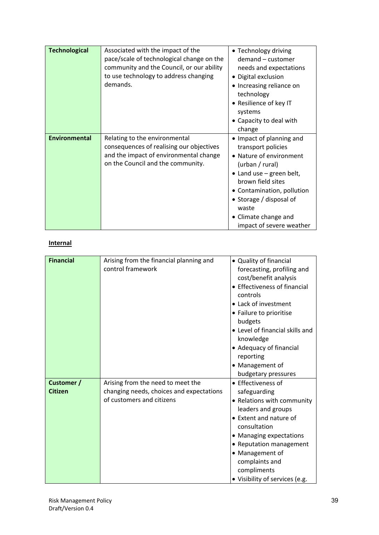| <b>Technological</b> | Associated with the impact of the<br>pace/scale of technological change on the<br>community and the Council, or our ability<br>to use technology to address changing<br>demands. | • Technology driving<br>demand - customer<br>needs and expectations<br>• Digital exclusion<br>• Increasing reliance on<br>technology<br>• Resilience of key IT<br>systems<br>• Capacity to deal with<br>change                                                              |
|----------------------|----------------------------------------------------------------------------------------------------------------------------------------------------------------------------------|-----------------------------------------------------------------------------------------------------------------------------------------------------------------------------------------------------------------------------------------------------------------------------|
| <b>Environmental</b> | Relating to the environmental<br>consequences of realising our objectives<br>and the impact of environmental change<br>on the Council and the community.                         | • Impact of planning and<br>transport policies<br>• Nature of environment<br>(urban / rural)<br>$\bullet$ Land use – green belt,<br>brown field sites<br>• Contamination, pollution<br>• Storage / disposal of<br>waste<br>• Climate change and<br>impact of severe weather |

#### **Internal**

| <b>Financial</b>             | Arising from the financial planning and<br>control framework                                               | • Quality of financial<br>forecasting, profiling and<br>cost/benefit analysis<br>• Effectiveness of financial<br>controls<br>• Lack of investment<br>• Failure to prioritise<br>budgets<br>• Level of financial skills and<br>knowledge<br>• Adequacy of financial<br>reporting<br>• Management of<br>budgetary pressures |
|------------------------------|------------------------------------------------------------------------------------------------------------|---------------------------------------------------------------------------------------------------------------------------------------------------------------------------------------------------------------------------------------------------------------------------------------------------------------------------|
| Customer /<br><b>Citizen</b> | Arising from the need to meet the<br>changing needs, choices and expectations<br>of customers and citizens | • Effectiveness of<br>safeguarding<br>• Relations with community<br>leaders and groups<br>• Extent and nature of<br>consultation<br>• Managing expectations<br>• Reputation management<br>• Management of<br>complaints and<br>compliments<br>· Visibility of services (e.g.                                              |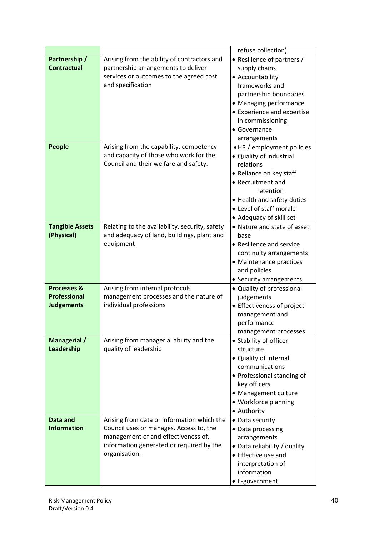|                                                                    |                                                                                                                                                                                           | refuse collection)                                                                                                                                                                                                      |
|--------------------------------------------------------------------|-------------------------------------------------------------------------------------------------------------------------------------------------------------------------------------------|-------------------------------------------------------------------------------------------------------------------------------------------------------------------------------------------------------------------------|
| Partnership /<br><b>Contractual</b>                                | Arising from the ability of contractors and<br>partnership arrangements to deliver<br>services or outcomes to the agreed cost<br>and specification                                        | • Resilience of partners /<br>supply chains<br>• Accountability<br>frameworks and<br>partnership boundaries<br>• Managing performance<br>• Experience and expertise<br>in commissioning<br>• Governance<br>arrangements |
| People                                                             | Arising from the capability, competency<br>and capacity of those who work for the<br>Council and their welfare and safety.                                                                | • HR / employment policies<br>• Quality of industrial<br>relations<br>• Reliance on key staff<br>• Recruitment and<br>retention<br>• Health and safety duties<br>• Level of staff morale<br>• Adequacy of skill set     |
| <b>Tangible Assets</b><br>(Physical)                               | Relating to the availability, security, safety<br>and adequacy of land, buildings, plant and<br>equipment                                                                                 | • Nature and state of asset<br>base<br>• Resilience and service<br>continuity arrangements<br>• Maintenance practices<br>and policies<br>• Security arrangements                                                        |
| <b>Processes &amp;</b><br><b>Professional</b><br><b>Judgements</b> | Arising from internal protocols<br>management processes and the nature of<br>individual professions                                                                                       | • Quality of professional<br>judgements<br>• Effectiveness of project<br>management and<br>performance<br>management processes                                                                                          |
| Managerial /<br>Leadership                                         | Arising from managerial ability and the<br>quality of leadership                                                                                                                          | • Stability of officer<br>structure<br>• Quality of internal<br>communications<br>• Professional standing of<br>key officers<br>• Management culture<br>• Workforce planning<br>• Authority                             |
| Data and<br><b>Information</b>                                     | Arising from data or information which the<br>Council uses or manages. Access to, the<br>management of and effectiveness of,<br>information generated or required by the<br>organisation. | • Data security<br>• Data processing<br>arrangements<br>• Data reliability / quality<br>• Effective use and<br>interpretation of<br>information<br>• E-government                                                       |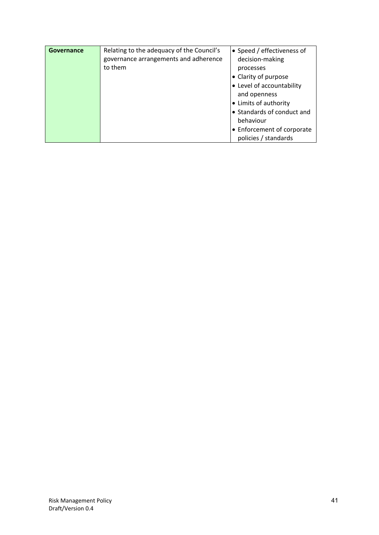| <b>Governance</b> | Relating to the adequacy of the Council's<br>governance arrangements and adherence<br>to them | • Speed / effectiveness of<br>decision-making<br>processes<br>• Clarity of purpose<br>• Level of accountability<br>and openness<br>• Limits of authority<br>• Standards of conduct and<br>behaviour |
|-------------------|-----------------------------------------------------------------------------------------------|-----------------------------------------------------------------------------------------------------------------------------------------------------------------------------------------------------|
|                   |                                                                                               | • Enforcement of corporate<br>policies / standards                                                                                                                                                  |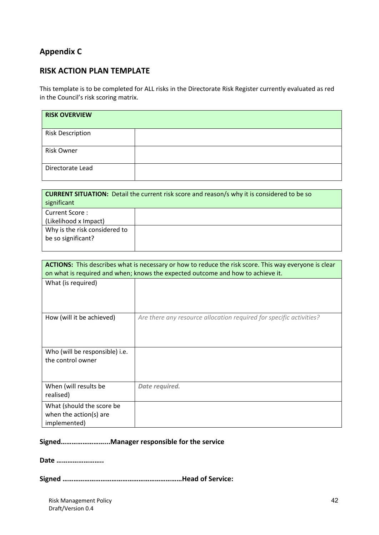## **Appendix C**

## **RISK ACTION PLAN TEMPLATE**

This template is to be completed for ALL risks in the Directorate Risk Register currently evaluated as red in the Council's risk scoring matrix.

| <b>RISK OVERVIEW</b>    |  |
|-------------------------|--|
| <b>Risk Description</b> |  |
| <b>Risk Owner</b>       |  |
| Directorate Lead        |  |

| <b>CURRENT SITUATION:</b> Detail the current risk score and reason/s why it is considered to be so |  |  |  |  |  |  |  |  |  |
|----------------------------------------------------------------------------------------------------|--|--|--|--|--|--|--|--|--|
| significant                                                                                        |  |  |  |  |  |  |  |  |  |
| Current Score:                                                                                     |  |  |  |  |  |  |  |  |  |
| (Likelihood x Impact)                                                                              |  |  |  |  |  |  |  |  |  |
| Why is the risk considered to                                                                      |  |  |  |  |  |  |  |  |  |
| be so significant?                                                                                 |  |  |  |  |  |  |  |  |  |
|                                                                                                    |  |  |  |  |  |  |  |  |  |

| <b>ACTIONS:</b> This describes what is necessary or how to reduce the risk score. This way everyone is clear<br>on what is required and when; knows the expected outcome and how to achieve it. |                                                                     |  |  |  |  |  |  |  |
|-------------------------------------------------------------------------------------------------------------------------------------------------------------------------------------------------|---------------------------------------------------------------------|--|--|--|--|--|--|--|
| What (is required)                                                                                                                                                                              |                                                                     |  |  |  |  |  |  |  |
| How (will it be achieved)                                                                                                                                                                       | Are there any resource allocation required for specific activities? |  |  |  |  |  |  |  |
| Who (will be responsible) i.e.<br>the control owner                                                                                                                                             |                                                                     |  |  |  |  |  |  |  |
| When (will results be<br>realised)                                                                                                                                                              | Date required.                                                      |  |  |  |  |  |  |  |
| What (should the score be<br>when the action(s) are<br>implemented)                                                                                                                             |                                                                     |  |  |  |  |  |  |  |

#### **Signed……………………...Manager responsible for the service**

**Date ……………………..**

**Signed …………………………………………………………Head of Service:**